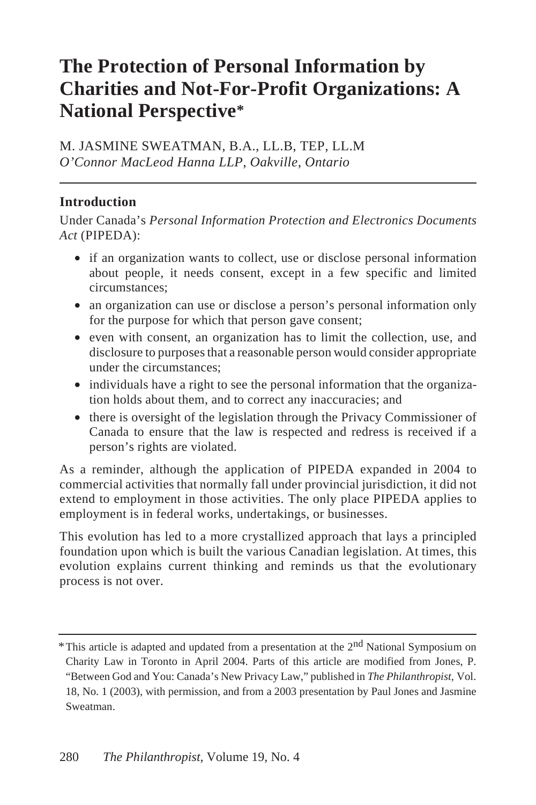# **The Protection of Personal Information by Charities and Not-For-Profit Organizations: A National Perspective\***

M. JASMINE SWEATMAN, B.A., LL.B, TEP, LL.M *O'Connor MacLeod Hanna LLP, Oakville, Ontario*

#### **Introduction**

Under Canada's *Personal Information Protection and Electronics Documents Act* (PIPEDA):

- if an organization wants to collect, use or disclose personal information about people, it needs consent, except in a few specific and limited circumstances;
- an organization can use or disclose a person's personal information only for the purpose for which that person gave consent;
- even with consent, an organization has to limit the collection, use, and disclosure to purposes that a reasonable person would consider appropriate under the circumstances;
- individuals have a right to see the personal information that the organization holds about them, and to correct any inaccuracies; and
- there is oversight of the legislation through the Privacy Commissioner of Canada to ensure that the law is respected and redress is received if a person's rights are violated.

As a reminder, although the application of PIPEDA expanded in 2004 to commercial activities that normally fall under provincial jurisdiction, it did not extend to employment in those activities. The only place PIPEDA applies to employment is in federal works, undertakings, or businesses.

This evolution has led to a more crystallized approach that lays a principled foundation upon which is built the various Canadian legislation. At times, this evolution explains current thinking and reminds us that the evolutionary process is not over.

<sup>&</sup>lt;sup>\*</sup>This article is adapted and updated from a presentation at the 2<sup>nd</sup> National Symposium on Charity Law in Toronto in April 2004. Parts of this article are modified from Jones, P. "Between God and You: Canada's New Privacy Law," published in *The Philanthropist,* Vol. 18, No. 1 (2003), with permission, and from a 2003 presentation by Paul Jones and Jasmine Sweatman.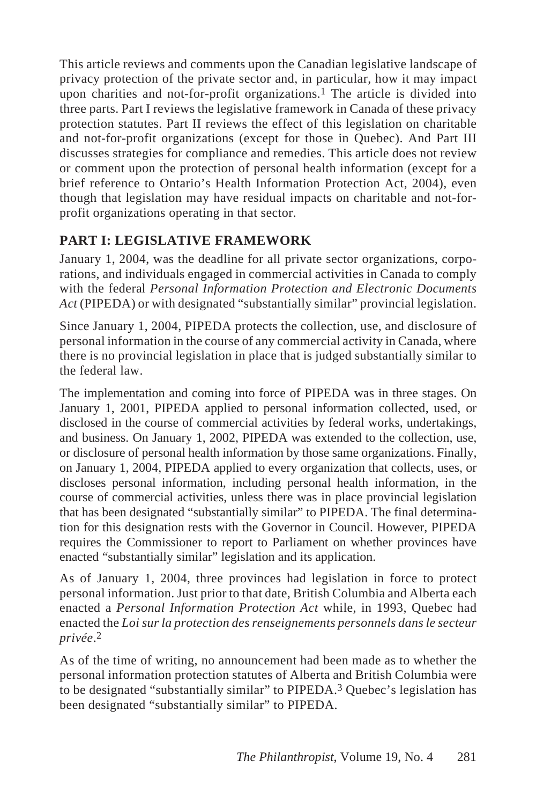This article reviews and comments upon the Canadian legislative landscape of privacy protection of the private sector and, in particular, how it may impact upon charities and not-for-profit organizations.<sup>1</sup> The article is divided into three parts. Part I reviews the legislative framework in Canada of these privacy protection statutes. Part II reviews the effect of this legislation on charitable and not-for-profit organizations (except for those in Quebec). And Part III discusses strategies for compliance and remedies. This article does not review or comment upon the protection of personal health information (except for a brief reference to Ontario's Health Information Protection Act, 2004), even though that legislation may have residual impacts on charitable and not-forprofit organizations operating in that sector.

## **PART I: LEGISLATIVE FRAMEWORK**

January 1, 2004, was the deadline for all private sector organizations, corporations, and individuals engaged in commercial activities in Canada to comply with the federal *Personal Information Protection and Electronic Documents Act* (PIPEDA) or with designated "substantially similar" provincial legislation.

Since January 1, 2004, PIPEDA protects the collection, use, and disclosure of personal information in the course of any commercial activity in Canada, where there is no provincial legislation in place that is judged substantially similar to the federal law.

The implementation and coming into force of PIPEDA was in three stages. On January 1, 2001, PIPEDA applied to personal information collected, used, or disclosed in the course of commercial activities by federal works, undertakings, and business. On January 1, 2002, PIPEDA was extended to the collection, use, or disclosure of personal health information by those same organizations. Finally, on January 1, 2004, PIPEDA applied to every organization that collects, uses, or discloses personal information, including personal health information, in the course of commercial activities, unless there was in place provincial legislation that has been designated "substantially similar" to PIPEDA. The final determination for this designation rests with the Governor in Council. However, PIPEDA requires the Commissioner to report to Parliament on whether provinces have enacted "substantially similar" legislation and its application.

As of January 1, 2004, three provinces had legislation in force to protect personal information. Just prior to that date, British Columbia and Alberta each enacted a *Personal Information Protection Act* while, in 1993, Quebec had enacted the *Loi sur la protection des renseignements personnels dans le secteur privée*.2

As of the time of writing, no announcement had been made as to whether the personal information protection statutes of Alberta and British Columbia were to be designated "substantially similar" to PIPEDA.3 Quebec's legislation has been designated "substantially similar" to PIPEDA.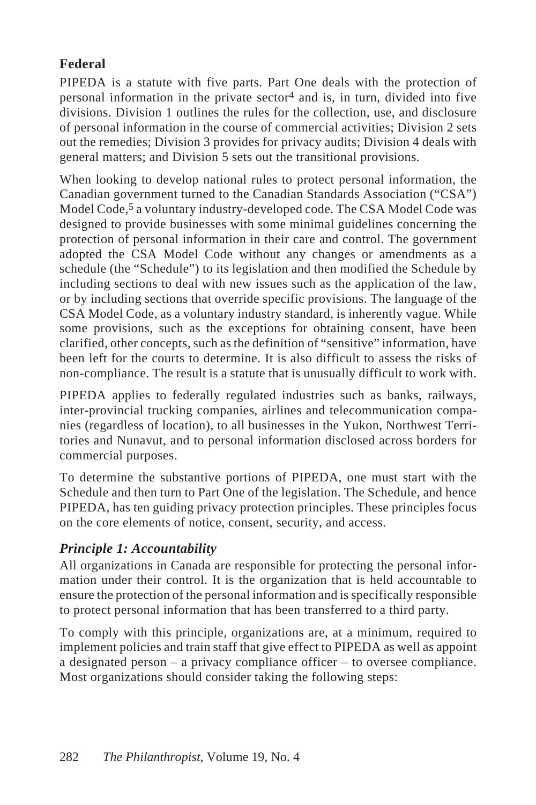## **Federal**

PIPEDA is a statute with five parts. Part One deals with the protection of personal information in the private  $sector^4$  and is, in turn, divided into five divisions. Division 1 outlines the rules for the collection, use, and disclosure of personal information in the course of commercial activities; Division 2 sets out the remedies; Division 3 provides for privacy audits; Division 4 deals with general matters; and Division 5 sets out the transitional provisions.

When looking to develop national rules to protect personal information, the Canadian government turned to the Canadian Standards Association ("CSA") Model Code,<sup>5</sup> a voluntary industry-developed code. The CSA Model Code was designed to provide businesses with some minimal guidelines concerning the protection of personal information in their care and control. The government adopted the CSA Model Code without any changes or amendments as a schedule (the "Schedule") to its legislation and then modified the Schedule by including sections to deal with new issues such as the application of the law, or by including sections that override specific provisions. The language of the CSA Model Code, as a voluntary industry standard, is inherently vague. While some provisions, such as the exceptions for obtaining consent, have been clarified, other concepts, such as the definition of "sensitive" information, have been left for the courts to determine. It is also difficult to assess the risks of non-compliance. The result is a statute that is unusually difficult to work with.

PIPEDA applies to federally regulated industries such as banks, railways, inter-provincial trucking companies, airlines and telecommunication companies (regardless of location), to all businesses in the Yukon, Northwest Territories and Nunavut, and to personal information disclosed across borders for commercial purposes.

To determine the substantive portions of PIPEDA, one must start with the Schedule and then turn to Part One of the legislation. The Schedule, and hence PIPEDA, has ten guiding privacy protection principles. These principles focus on the core elements of notice, consent, security, and access.

## *Principle 1: Accountability*

All organizations in Canada are responsible for protecting the personal information under their control. It is the organization that is held accountable to ensure the protection of the personal information and is specifically responsible to protect personal information that has been transferred to a third party.

To comply with this principle, organizations are, at a minimum, required to implement policies and train staff that give effect to PIPEDA as well as appoint a designated person – a privacy compliance officer – to oversee compliance. Most organizations should consider taking the following steps: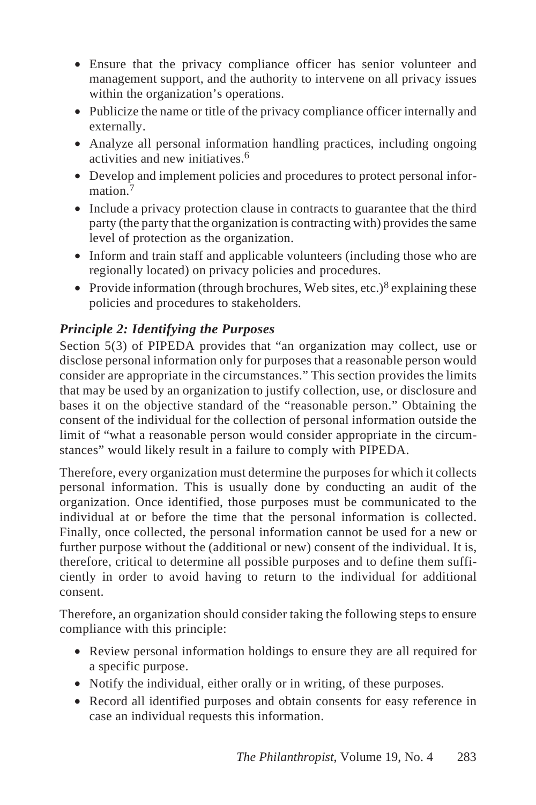- Ensure that the privacy compliance officer has senior volunteer and management support, and the authority to intervene on all privacy issues within the organization's operations.
- Publicize the name or title of the privacy compliance officer internally and externally.
- Analyze all personal information handling practices, including ongoing activities and new initiatives.<sup>6</sup>
- Develop and implement policies and procedures to protect personal information<sup>7</sup>
- Include a privacy protection clause in contracts to guarantee that the third party (the party that the organization is contracting with) provides the same level of protection as the organization.
- Inform and train staff and applicable volunteers (including those who are regionally located) on privacy policies and procedures.
- Provide information (through brochures, Web sites, etc.)<sup>8</sup> explaining these policies and procedures to stakeholders.

## *Principle 2: Identifying the Purposes*

Section 5(3) of PIPEDA provides that "an organization may collect, use or disclose personal information only for purposes that a reasonable person would consider are appropriate in the circumstances." This section provides the limits that may be used by an organization to justify collection, use, or disclosure and bases it on the objective standard of the "reasonable person." Obtaining the consent of the individual for the collection of personal information outside the limit of "what a reasonable person would consider appropriate in the circumstances" would likely result in a failure to comply with PIPEDA.

Therefore, every organization must determine the purposes for which it collects personal information. This is usually done by conducting an audit of the organization. Once identified, those purposes must be communicated to the individual at or before the time that the personal information is collected. Finally, once collected, the personal information cannot be used for a new or further purpose without the (additional or new) consent of the individual. It is, therefore, critical to determine all possible purposes and to define them sufficiently in order to avoid having to return to the individual for additional consent.

Therefore, an organization should consider taking the following steps to ensure compliance with this principle:

- Review personal information holdings to ensure they are all required for a specific purpose.
- Notify the individual, either orally or in writing, of these purposes.
- Record all identified purposes and obtain consents for easy reference in case an individual requests this information.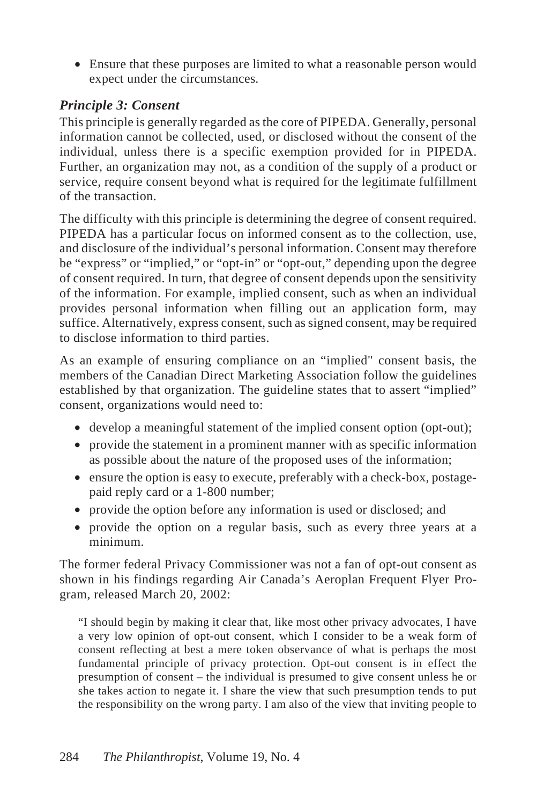• Ensure that these purposes are limited to what a reasonable person would expect under the circumstances.

#### *Principle 3: Consent*

This principle is generally regarded as the core of PIPEDA. Generally, personal information cannot be collected, used, or disclosed without the consent of the individual, unless there is a specific exemption provided for in PIPEDA. Further, an organization may not, as a condition of the supply of a product or service, require consent beyond what is required for the legitimate fulfillment of the transaction.

The difficulty with this principle is determining the degree of consent required. PIPEDA has a particular focus on informed consent as to the collection, use, and disclosure of the individual's personal information. Consent may therefore be "express" or "implied," or "opt-in" or "opt-out," depending upon the degree of consent required. In turn, that degree of consent depends upon the sensitivity of the information. For example, implied consent, such as when an individual provides personal information when filling out an application form, may suffice. Alternatively, express consent, such as signed consent, may be required to disclose information to third parties.

As an example of ensuring compliance on an "implied" consent basis, the members of the Canadian Direct Marketing Association follow the guidelines established by that organization. The guideline states that to assert "implied" consent, organizations would need to:

- develop a meaningful statement of the implied consent option (opt-out);
- provide the statement in a prominent manner with as specific information as possible about the nature of the proposed uses of the information;
- ensure the option is easy to execute, preferably with a check-box, postagepaid reply card or a 1-800 number;
- provide the option before any information is used or disclosed; and
- provide the option on a regular basis, such as every three years at a minimum.

The former federal Privacy Commissioner was not a fan of opt-out consent as shown in his findings regarding Air Canada's Aeroplan Frequent Flyer Program, released March 20, 2002:

"I should begin by making it clear that, like most other privacy advocates, I have a very low opinion of opt-out consent, which I consider to be a weak form of consent reflecting at best a mere token observance of what is perhaps the most fundamental principle of privacy protection. Opt-out consent is in effect the presumption of consent – the individual is presumed to give consent unless he or she takes action to negate it. I share the view that such presumption tends to put the responsibility on the wrong party. I am also of the view that inviting people to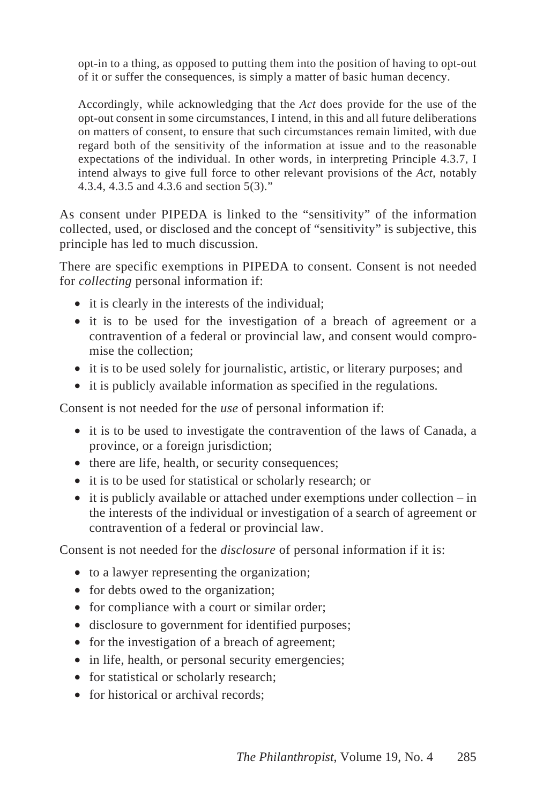opt-in to a thing, as opposed to putting them into the position of having to opt-out of it or suffer the consequences, is simply a matter of basic human decency.

Accordingly, while acknowledging that the *Act* does provide for the use of the opt-out consent in some circumstances, I intend, in this and all future deliberations on matters of consent, to ensure that such circumstances remain limited, with due regard both of the sensitivity of the information at issue and to the reasonable expectations of the individual. In other words, in interpreting Principle 4.3.7, I intend always to give full force to other relevant provisions of the *Act,* notably 4.3.4, 4.3.5 and 4.3.6 and section 5(3)."

As consent under PIPEDA is linked to the "sensitivity" of the information collected, used, or disclosed and the concept of "sensitivity" is subjective, this principle has led to much discussion.

There are specific exemptions in PIPEDA to consent. Consent is not needed for *collecting* personal information if:

- it is clearly in the interests of the individual;
- it is to be used for the investigation of a breach of agreement or a contravention of a federal or provincial law, and consent would compromise the collection;
- it is to be used solely for journalistic, artistic, or literary purposes; and
- it is publicly available information as specified in the regulations.

Consent is not needed for the *use* of personal information if:

- it is to be used to investigate the contravention of the laws of Canada, a province, or a foreign jurisdiction;
- there are life, health, or security consequences;
- it is to be used for statistical or scholarly research; or
- it is publicly available or attached under exemptions under collection in the interests of the individual or investigation of a search of agreement or contravention of a federal or provincial law.

Consent is not needed for the *disclosure* of personal information if it is:

- to a lawyer representing the organization;
- for debts owed to the organization;
- for compliance with a court or similar order;
- disclosure to government for identified purposes;
- for the investigation of a breach of agreement;
- in life, health, or personal security emergencies;
- for statistical or scholarly research;
- for historical or archival records: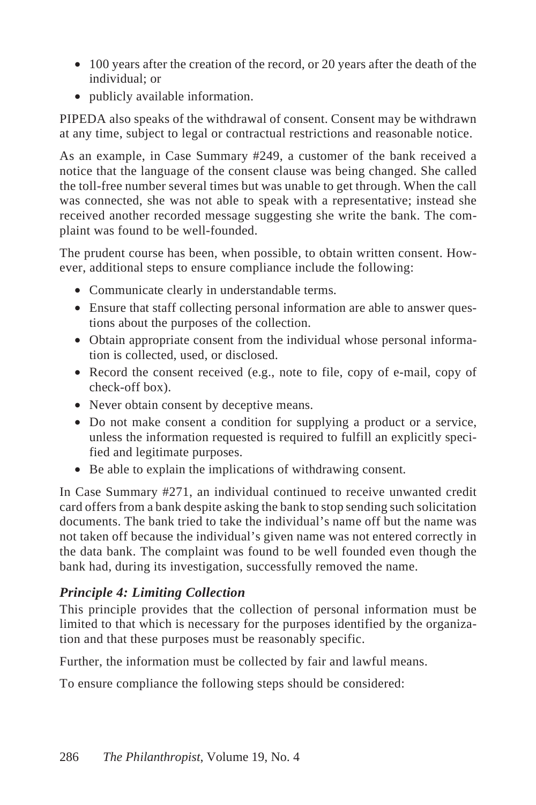- 100 years after the creation of the record, or 20 years after the death of the individual; or
- publicly available information.

PIPEDA also speaks of the withdrawal of consent. Consent may be withdrawn at any time, subject to legal or contractual restrictions and reasonable notice.

As an example, in Case Summary #249, a customer of the bank received a notice that the language of the consent clause was being changed. She called the toll-free number several times but was unable to get through. When the call was connected, she was not able to speak with a representative; instead she received another recorded message suggesting she write the bank. The complaint was found to be well-founded.

The prudent course has been, when possible, to obtain written consent. However, additional steps to ensure compliance include the following:

- Communicate clearly in understandable terms.
- Ensure that staff collecting personal information are able to answer questions about the purposes of the collection.
- Obtain appropriate consent from the individual whose personal information is collected, used, or disclosed.
- Record the consent received (e.g., note to file, copy of e-mail, copy of check-off box).
- Never obtain consent by deceptive means.
- Do not make consent a condition for supplying a product or a service, unless the information requested is required to fulfill an explicitly specified and legitimate purposes.
- Be able to explain the implications of withdrawing consent.

In Case Summary #271, an individual continued to receive unwanted credit card offers from a bank despite asking the bank to stop sending such solicitation documents. The bank tried to take the individual's name off but the name was not taken off because the individual's given name was not entered correctly in the data bank. The complaint was found to be well founded even though the bank had, during its investigation, successfully removed the name.

#### *Principle 4: Limiting Collection*

This principle provides that the collection of personal information must be limited to that which is necessary for the purposes identified by the organization and that these purposes must be reasonably specific.

Further, the information must be collected by fair and lawful means.

To ensure compliance the following steps should be considered: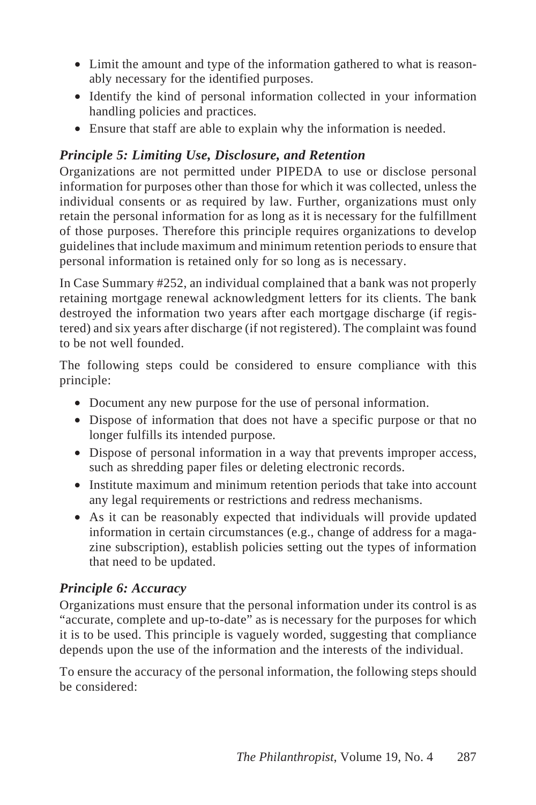- Limit the amount and type of the information gathered to what is reasonably necessary for the identified purposes.
- Identify the kind of personal information collected in your information handling policies and practices.
- Ensure that staff are able to explain why the information is needed.

## *Principle 5: Limiting Use, Disclosure, and Retention*

Organizations are not permitted under PIPEDA to use or disclose personal information for purposes other than those for which it was collected, unless the individual consents or as required by law. Further, organizations must only retain the personal information for as long as it is necessary for the fulfillment of those purposes. Therefore this principle requires organizations to develop guidelines that include maximum and minimum retention periods to ensure that personal information is retained only for so long as is necessary.

In Case Summary #252, an individual complained that a bank was not properly retaining mortgage renewal acknowledgment letters for its clients. The bank destroyed the information two years after each mortgage discharge (if registered) and six years after discharge (if not registered). The complaint was found to be not well founded.

The following steps could be considered to ensure compliance with this principle:

- Document any new purpose for the use of personal information.
- Dispose of information that does not have a specific purpose or that no longer fulfills its intended purpose.
- Dispose of personal information in a way that prevents improper access, such as shredding paper files or deleting electronic records.
- Institute maximum and minimum retention periods that take into account any legal requirements or restrictions and redress mechanisms.
- As it can be reasonably expected that individuals will provide updated information in certain circumstances (e.g., change of address for a magazine subscription), establish policies setting out the types of information that need to be updated.

## *Principle 6: Accuracy*

Organizations must ensure that the personal information under its control is as "accurate, complete and up-to-date" as is necessary for the purposes for which it is to be used. This principle is vaguely worded, suggesting that compliance depends upon the use of the information and the interests of the individual.

To ensure the accuracy of the personal information, the following steps should be considered: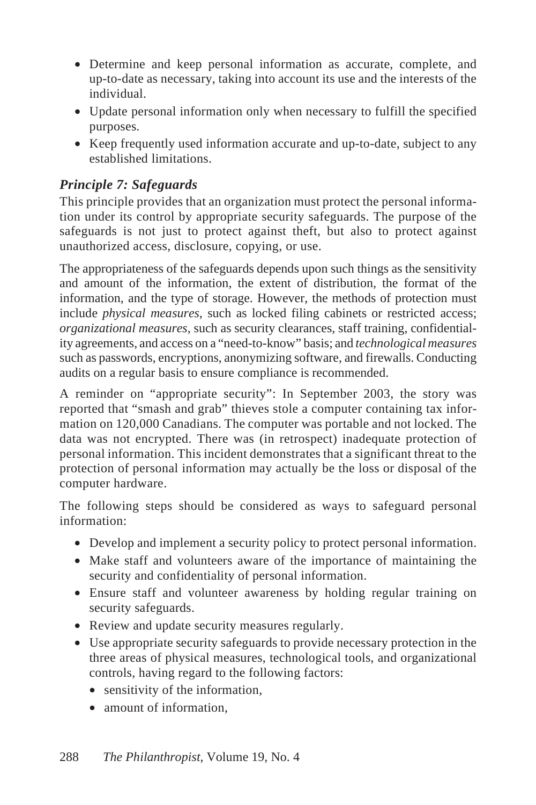- Determine and keep personal information as accurate, complete, and up-to-date as necessary, taking into account its use and the interests of the individual.
- Update personal information only when necessary to fulfill the specified purposes.
- Keep frequently used information accurate and up-to-date, subject to any established limitations.

#### *Principle 7: Safeguards*

This principle provides that an organization must protect the personal information under its control by appropriate security safeguards. The purpose of the safeguards is not just to protect against theft, but also to protect against unauthorized access, disclosure, copying, or use.

The appropriateness of the safeguards depends upon such things as the sensitivity and amount of the information, the extent of distribution, the format of the information, and the type of storage. However, the methods of protection must include *physical measures*, such as locked filing cabinets or restricted access; *organizational measures*, such as security clearances, staff training, confidentiality agreements, and access on a "need-to-know" basis; and *technological measures* such as passwords, encryptions, anonymizing software, and firewalls. Conducting audits on a regular basis to ensure compliance is recommended.

A reminder on "appropriate security": In September 2003, the story was reported that "smash and grab" thieves stole a computer containing tax information on 120,000 Canadians. The computer was portable and not locked. The data was not encrypted. There was (in retrospect) inadequate protection of personal information. This incident demonstrates that a significant threat to the protection of personal information may actually be the loss or disposal of the computer hardware.

The following steps should be considered as ways to safeguard personal information:

- Develop and implement a security policy to protect personal information.
- Make staff and volunteers aware of the importance of maintaining the security and confidentiality of personal information.
- Ensure staff and volunteer awareness by holding regular training on security safeguards.
- Review and update security measures regularly.
- Use appropriate security safeguards to provide necessary protection in the three areas of physical measures, technological tools, and organizational controls, having regard to the following factors:
	- sensitivity of the information,
	- amount of information.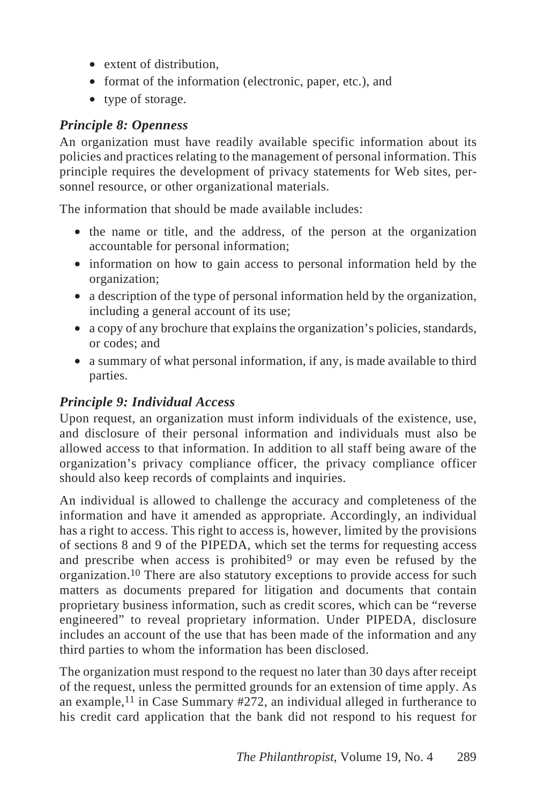- extent of distribution.
- format of the information (electronic, paper, etc.), and
- type of storage.

#### *Principle 8: Openness*

An organization must have readily available specific information about its policies and practices relating to the management of personal information. This principle requires the development of privacy statements for Web sites, personnel resource, or other organizational materials.

The information that should be made available includes:

- the name or title, and the address, of the person at the organization accountable for personal information;
- information on how to gain access to personal information held by the organization;
- a description of the type of personal information held by the organization, including a general account of its use;
- a copy of any brochure that explains the organization's policies, standards, or codes; and
- a summary of what personal information, if any, is made available to third parties.

## *Principle 9: Individual Access*

Upon request, an organization must inform individuals of the existence, use, and disclosure of their personal information and individuals must also be allowed access to that information. In addition to all staff being aware of the organization's privacy compliance officer, the privacy compliance officer should also keep records of complaints and inquiries.

An individual is allowed to challenge the accuracy and completeness of the information and have it amended as appropriate. Accordingly, an individual has a right to access. This right to access is, however, limited by the provisions of sections 8 and 9 of the PIPEDA, which set the terms for requesting access and prescribe when access is prohibited<sup>9</sup> or may even be refused by the organization.10 There are also statutory exceptions to provide access for such matters as documents prepared for litigation and documents that contain proprietary business information, such as credit scores, which can be "reverse engineered" to reveal proprietary information. Under PIPEDA, disclosure includes an account of the use that has been made of the information and any third parties to whom the information has been disclosed.

The organization must respond to the request no later than 30 days after receipt of the request, unless the permitted grounds for an extension of time apply. As an example,<sup>11</sup> in Case Summary  $\#272$ , an individual alleged in furtherance to his credit card application that the bank did not respond to his request for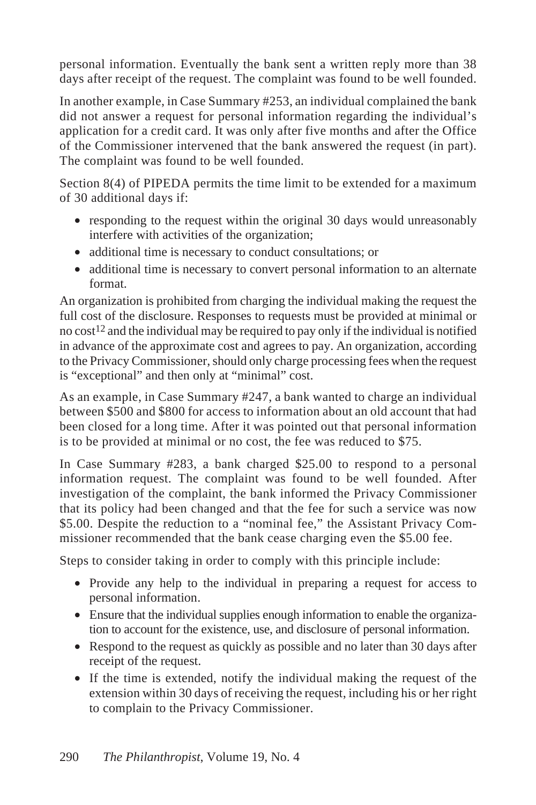personal information. Eventually the bank sent a written reply more than 38 days after receipt of the request. The complaint was found to be well founded.

In another example, in Case Summary #253, an individual complained the bank did not answer a request for personal information regarding the individual's application for a credit card. It was only after five months and after the Office of the Commissioner intervened that the bank answered the request (in part). The complaint was found to be well founded.

Section 8(4) of PIPEDA permits the time limit to be extended for a maximum of 30 additional days if:

- responding to the request within the original 30 days would unreasonably interfere with activities of the organization;
- additional time is necessary to conduct consultations; or
- additional time is necessary to convert personal information to an alternate format.

An organization is prohibited from charging the individual making the request the full cost of the disclosure. Responses to requests must be provided at minimal or no  $\cos t^{12}$  and the individual may be required to pay only if the individual is notified in advance of the approximate cost and agrees to pay. An organization, according to the Privacy Commissioner, should only charge processing fees when the request is "exceptional" and then only at "minimal" cost.

As an example, in Case Summary #247, a bank wanted to charge an individual between \$500 and \$800 for access to information about an old account that had been closed for a long time. After it was pointed out that personal information is to be provided at minimal or no cost, the fee was reduced to \$75.

In Case Summary #283, a bank charged \$25.00 to respond to a personal information request. The complaint was found to be well founded. After investigation of the complaint, the bank informed the Privacy Commissioner that its policy had been changed and that the fee for such a service was now \$5.00. Despite the reduction to a "nominal fee," the Assistant Privacy Commissioner recommended that the bank cease charging even the \$5.00 fee.

Steps to consider taking in order to comply with this principle include:

- Provide any help to the individual in preparing a request for access to personal information.
- Ensure that the individual supplies enough information to enable the organization to account for the existence, use, and disclosure of personal information.
- Respond to the request as quickly as possible and no later than 30 days after receipt of the request.
- If the time is extended, notify the individual making the request of the extension within 30 days of receiving the request, including his or her right to complain to the Privacy Commissioner.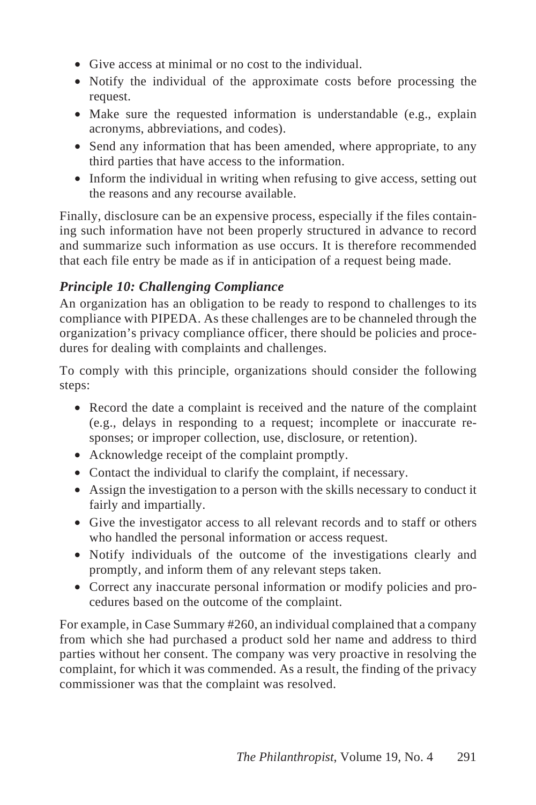- Give access at minimal or no cost to the individual.
- Notify the individual of the approximate costs before processing the request.
- Make sure the requested information is understandable (e.g., explain acronyms, abbreviations, and codes).
- Send any information that has been amended, where appropriate, to any third parties that have access to the information.
- Inform the individual in writing when refusing to give access, setting out the reasons and any recourse available.

Finally, disclosure can be an expensive process, especially if the files containing such information have not been properly structured in advance to record and summarize such information as use occurs. It is therefore recommended that each file entry be made as if in anticipation of a request being made.

#### *Principle 10: Challenging Compliance*

An organization has an obligation to be ready to respond to challenges to its compliance with PIPEDA. As these challenges are to be channeled through the organization's privacy compliance officer, there should be policies and procedures for dealing with complaints and challenges.

To comply with this principle, organizations should consider the following steps:

- Record the date a complaint is received and the nature of the complaint (e.g., delays in responding to a request; incomplete or inaccurate responses; or improper collection, use, disclosure, or retention).
- Acknowledge receipt of the complaint promptly.
- Contact the individual to clarify the complaint, if necessary.
- Assign the investigation to a person with the skills necessary to conduct it fairly and impartially.
- Give the investigator access to all relevant records and to staff or others who handled the personal information or access request.
- Notify individuals of the outcome of the investigations clearly and promptly, and inform them of any relevant steps taken.
- Correct any inaccurate personal information or modify policies and procedures based on the outcome of the complaint.

For example, in Case Summary #260, an individual complained that a company from which she had purchased a product sold her name and address to third parties without her consent. The company was very proactive in resolving the complaint, for which it was commended. As a result, the finding of the privacy commissioner was that the complaint was resolved.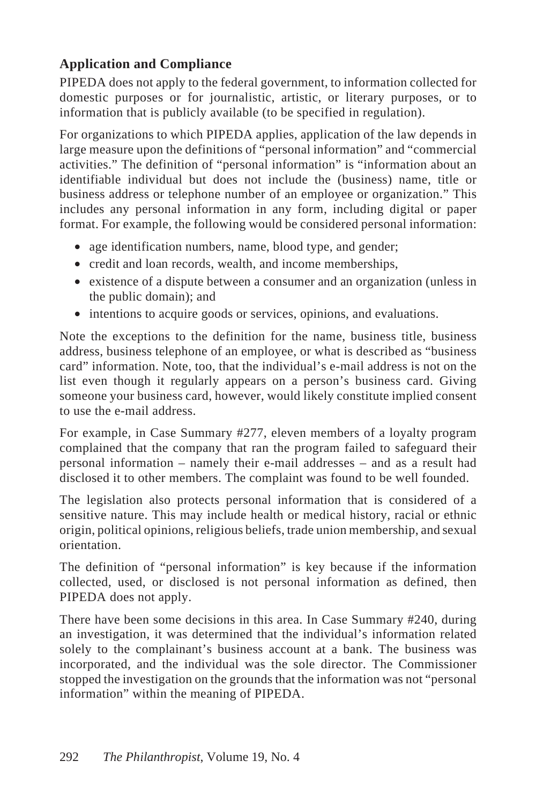## **Application and Compliance**

PIPEDA does not apply to the federal government, to information collected for domestic purposes or for journalistic, artistic, or literary purposes, or to information that is publicly available (to be specified in regulation).

For organizations to which PIPEDA applies, application of the law depends in large measure upon the definitions of "personal information" and "commercial activities." The definition of "personal information" is "information about an identifiable individual but does not include the (business) name, title or business address or telephone number of an employee or organization." This includes any personal information in any form, including digital or paper format. For example, the following would be considered personal information:

- age identification numbers, name, blood type, and gender;
- credit and loan records, wealth, and income memberships,
- existence of a dispute between a consumer and an organization (unless in the public domain); and
- intentions to acquire goods or services, opinions, and evaluations.

Note the exceptions to the definition for the name, business title, business address, business telephone of an employee, or what is described as "business card" information. Note, too, that the individual's e-mail address is not on the list even though it regularly appears on a person's business card. Giving someone your business card, however, would likely constitute implied consent to use the e-mail address.

For example, in Case Summary #277, eleven members of a loyalty program complained that the company that ran the program failed to safeguard their personal information – namely their e-mail addresses – and as a result had disclosed it to other members. The complaint was found to be well founded.

The legislation also protects personal information that is considered of a sensitive nature. This may include health or medical history, racial or ethnic origin, political opinions, religious beliefs, trade union membership, and sexual orientation.

The definition of "personal information" is key because if the information collected, used, or disclosed is not personal information as defined, then PIPEDA does not apply.

There have been some decisions in this area. In Case Summary #240, during an investigation, it was determined that the individual's information related solely to the complainant's business account at a bank. The business was incorporated, and the individual was the sole director. The Commissioner stopped the investigation on the grounds that the information was not "personal information" within the meaning of PIPEDA.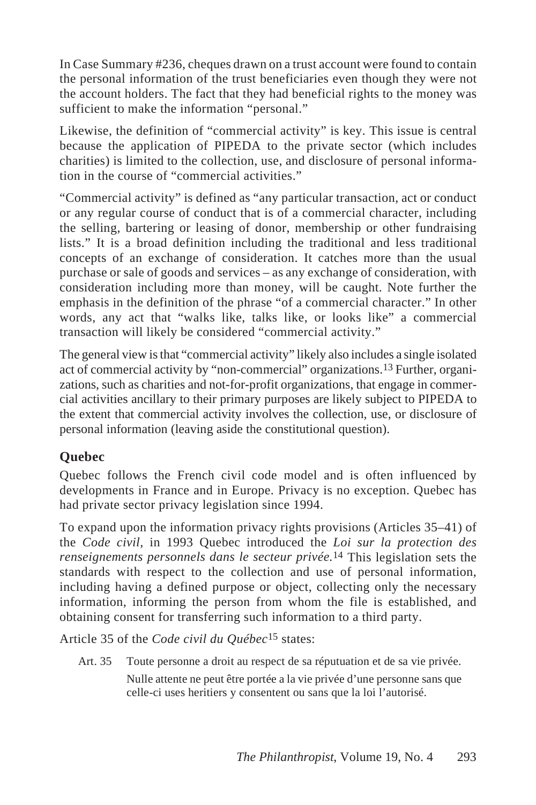In Case Summary #236, cheques drawn on a trust account were found to contain the personal information of the trust beneficiaries even though they were not the account holders. The fact that they had beneficial rights to the money was sufficient to make the information "personal."

Likewise, the definition of "commercial activity" is key. This issue is central because the application of PIPEDA to the private sector (which includes charities) is limited to the collection, use, and disclosure of personal information in the course of "commercial activities."

"Commercial activity" is defined as "any particular transaction, act or conduct or any regular course of conduct that is of a commercial character, including the selling, bartering or leasing of donor, membership or other fundraising lists." It is a broad definition including the traditional and less traditional concepts of an exchange of consideration. It catches more than the usual purchase or sale of goods and services – as any exchange of consideration, with consideration including more than money, will be caught. Note further the emphasis in the definition of the phrase "of a commercial character." In other words, any act that "walks like, talks like, or looks like" a commercial transaction will likely be considered "commercial activity."

The general view is that "commercial activity" likely also includes a single isolated act of commercial activity by "non-commercial" organizations.13 Further, organizations, such as charities and not-for-profit organizations, that engage in commercial activities ancillary to their primary purposes are likely subject to PIPEDA to the extent that commercial activity involves the collection, use, or disclosure of personal information (leaving aside the constitutional question).

## **Quebec**

Quebec follows the French civil code model and is often influenced by developments in France and in Europe. Privacy is no exception. Quebec has had private sector privacy legislation since 1994.

To expand upon the information privacy rights provisions (Articles 35–41) of the *Code civil,* in 1993 Quebec introduced the *Loi sur la protection des renseignements personnels dans le secteur privée.*14 This legislation sets the standards with respect to the collection and use of personal information, including having a defined purpose or object, collecting only the necessary information, informing the person from whom the file is established, and obtaining consent for transferring such information to a third party.

Article 35 of the *Code civil du Québec*15 states:

Art. 35 Toute personne a droit au respect de sa réputuation et de sa vie privée. Nulle attente ne peut être portée a la vie privée d'une personne sans que celle-ci uses heritiers y consentent ou sans que la loi l'autorisé.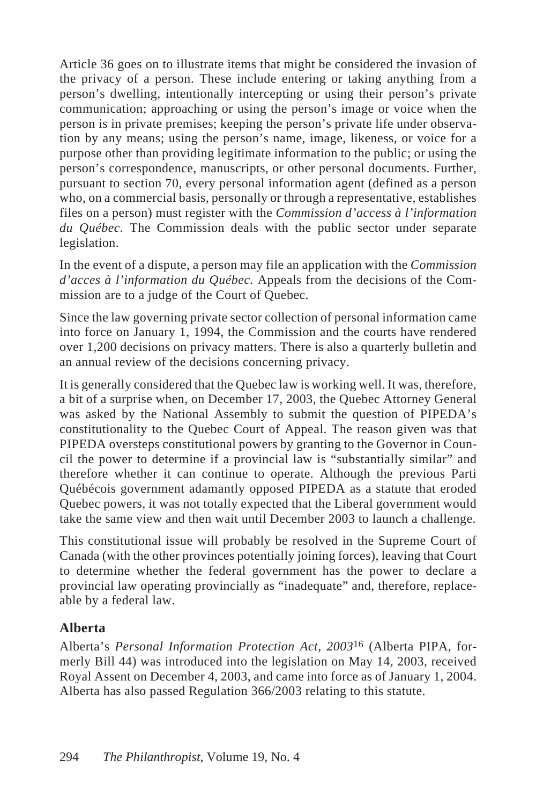Article 36 goes on to illustrate items that might be considered the invasion of the privacy of a person. These include entering or taking anything from a person's dwelling, intentionally intercepting or using their person's private communication; approaching or using the person's image or voice when the person is in private premises; keeping the person's private life under observation by any means; using the person's name, image, likeness, or voice for a purpose other than providing legitimate information to the public; or using the person's correspondence, manuscripts, or other personal documents. Further, pursuant to section 70, every personal information agent (defined as a person who, on a commercial basis, personally or through a representative, establishes files on a person) must register with the *Commission d'access à l'information du Québec.* The Commission deals with the public sector under separate legislation.

In the event of a dispute, a person may file an application with the *Commission d'acces à l'information du Québec.* Appeals from the decisions of the Commission are to a judge of the Court of Quebec.

Since the law governing private sector collection of personal information came into force on January 1, 1994, the Commission and the courts have rendered over 1,200 decisions on privacy matters. There is also a quarterly bulletin and an annual review of the decisions concerning privacy.

It is generally considered that the Quebec law is working well. It was, therefore, a bit of a surprise when, on December 17, 2003, the Quebec Attorney General was asked by the National Assembly to submit the question of PIPEDA's constitutionality to the Quebec Court of Appeal. The reason given was that PIPEDA oversteps constitutional powers by granting to the Governor in Council the power to determine if a provincial law is "substantially similar" and therefore whether it can continue to operate. Although the previous Parti Québécois government adamantly opposed PIPEDA as a statute that eroded Quebec powers, it was not totally expected that the Liberal government would take the same view and then wait until December 2003 to launch a challenge.

This constitutional issue will probably be resolved in the Supreme Court of Canada (with the other provinces potentially joining forces), leaving that Court to determine whether the federal government has the power to declare a provincial law operating provincially as "inadequate" and, therefore, replaceable by a federal law.

#### **Alberta**

Alberta's *Personal Information Protection Act, 2003*16 (Alberta PIPA, formerly Bill 44) was introduced into the legislation on May 14, 2003, received Royal Assent on December 4, 2003, and came into force as of January 1, 2004. Alberta has also passed Regulation 366/2003 relating to this statute.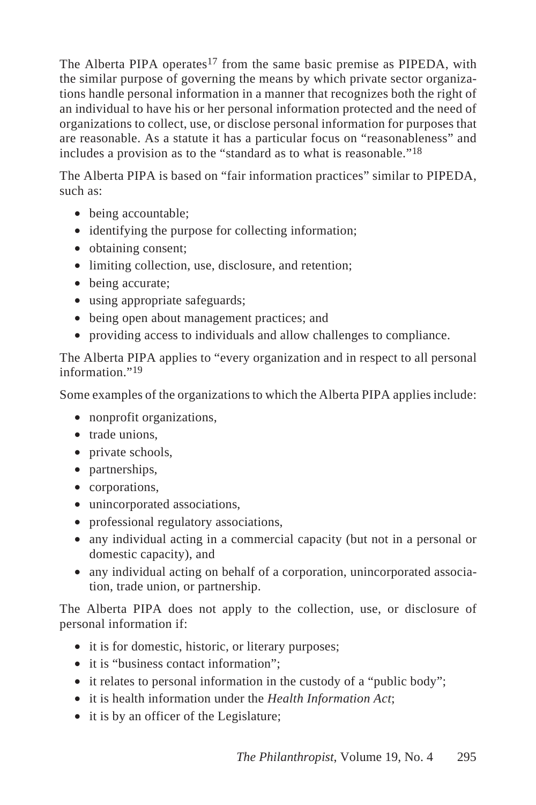The Alberta PIPA operates<sup>17</sup> from the same basic premise as PIPEDA, with the similar purpose of governing the means by which private sector organizations handle personal information in a manner that recognizes both the right of an individual to have his or her personal information protected and the need of organizations to collect, use, or disclose personal information for purposes that are reasonable. As a statute it has a particular focus on "reasonableness" and includes a provision as to the "standard as to what is reasonable."18

The Alberta PIPA is based on "fair information practices" similar to PIPEDA, such as:

- being accountable;
- identifying the purpose for collecting information;
- obtaining consent;
- limiting collection, use, disclosure, and retention;
- being accurate;
- using appropriate safeguards;
- being open about management practices; and
- providing access to individuals and allow challenges to compliance.

The Alberta PIPA applies to "every organization and in respect to all personal information<sup>"19</sup>

Some examples of the organizations to which the Alberta PIPA applies include:

- nonprofit organizations,
- trade unions.
- private schools,
- partnerships,
- corporations,
- unincorporated associations,
- professional regulatory associations,
- any individual acting in a commercial capacity (but not in a personal or domestic capacity), and
- any individual acting on behalf of a corporation, unincorporated association, trade union, or partnership.

The Alberta PIPA does not apply to the collection, use, or disclosure of personal information if:

- it is for domestic, historic, or literary purposes;
- it is "business contact information":
- it relates to personal information in the custody of a "public body";
- it is health information under the *Health Information Act*;
- it is by an officer of the Legislature;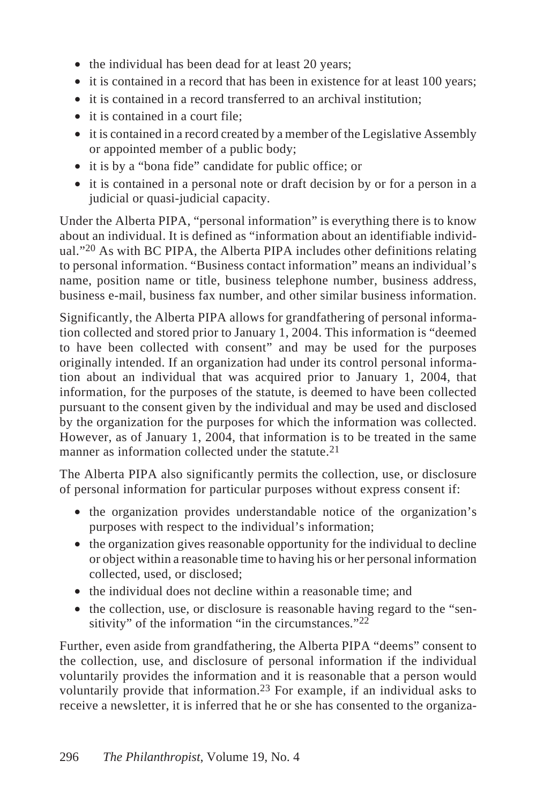- the individual has been dead for at least 20 years;
- it is contained in a record that has been in existence for at least 100 years;
- it is contained in a record transferred to an archival institution;
- it is contained in a court file;
- it is contained in a record created by a member of the Legislative Assembly or appointed member of a public body;
- it is by a "bona fide" candidate for public office; or
- it is contained in a personal note or draft decision by or for a person in a judicial or quasi-judicial capacity.

Under the Alberta PIPA, "personal information" is everything there is to know about an individual. It is defined as "information about an identifiable individual."20 As with BC PIPA, the Alberta PIPA includes other definitions relating to personal information. "Business contact information" means an individual's name, position name or title, business telephone number, business address, business e-mail, business fax number, and other similar business information.

Significantly, the Alberta PIPA allows for grandfathering of personal information collected and stored prior to January 1, 2004. This information is "deemed to have been collected with consent" and may be used for the purposes originally intended. If an organization had under its control personal information about an individual that was acquired prior to January 1, 2004, that information, for the purposes of the statute, is deemed to have been collected pursuant to the consent given by the individual and may be used and disclosed by the organization for the purposes for which the information was collected. However, as of January 1, 2004, that information is to be treated in the same manner as information collected under the statute.<sup>21</sup>

The Alberta PIPA also significantly permits the collection, use, or disclosure of personal information for particular purposes without express consent if:

- the organization provides understandable notice of the organization's purposes with respect to the individual's information;
- the organization gives reasonable opportunity for the individual to decline or object within a reasonable time to having his or her personal information collected, used, or disclosed;
- the individual does not decline within a reasonable time; and
- the collection, use, or disclosure is reasonable having regard to the "sensitivity" of the information "in the circumstances." $^{22}$

Further, even aside from grandfathering, the Alberta PIPA "deems" consent to the collection, use, and disclosure of personal information if the individual voluntarily provides the information and it is reasonable that a person would voluntarily provide that information.23 For example, if an individual asks to receive a newsletter, it is inferred that he or she has consented to the organiza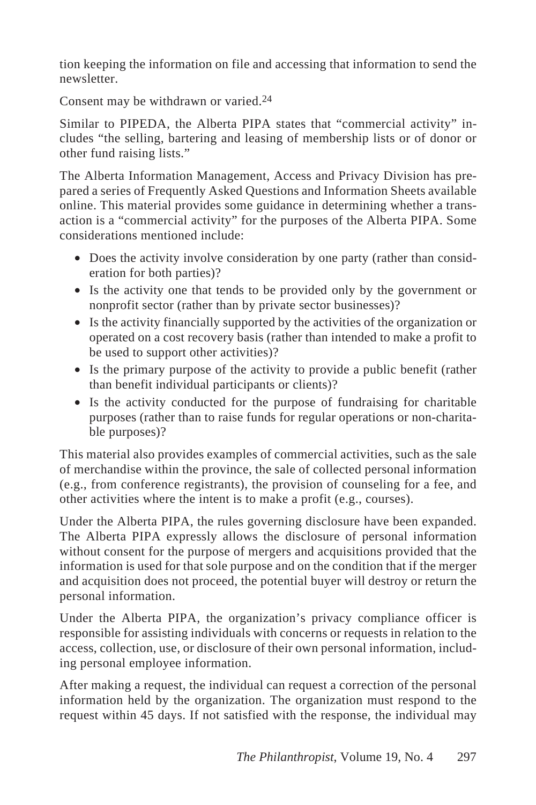tion keeping the information on file and accessing that information to send the newsletter.

Consent may be withdrawn or varied.24

Similar to PIPEDA, the Alberta PIPA states that "commercial activity" includes "the selling, bartering and leasing of membership lists or of donor or other fund raising lists."

The Alberta Information Management, Access and Privacy Division has prepared a series of Frequently Asked Questions and Information Sheets available online. This material provides some guidance in determining whether a transaction is a "commercial activity" for the purposes of the Alberta PIPA. Some considerations mentioned include:

- Does the activity involve consideration by one party (rather than consideration for both parties)?
- Is the activity one that tends to be provided only by the government or nonprofit sector (rather than by private sector businesses)?
- Is the activity financially supported by the activities of the organization or operated on a cost recovery basis (rather than intended to make a profit to be used to support other activities)?
- Is the primary purpose of the activity to provide a public benefit (rather than benefit individual participants or clients)?
- Is the activity conducted for the purpose of fundraising for charitable purposes (rather than to raise funds for regular operations or non-charitable purposes)?

This material also provides examples of commercial activities, such as the sale of merchandise within the province, the sale of collected personal information (e.g., from conference registrants), the provision of counseling for a fee, and other activities where the intent is to make a profit (e.g., courses).

Under the Alberta PIPA, the rules governing disclosure have been expanded. The Alberta PIPA expressly allows the disclosure of personal information without consent for the purpose of mergers and acquisitions provided that the information is used for that sole purpose and on the condition that if the merger and acquisition does not proceed, the potential buyer will destroy or return the personal information.

Under the Alberta PIPA, the organization's privacy compliance officer is responsible for assisting individuals with concerns or requests in relation to the access, collection, use, or disclosure of their own personal information, including personal employee information.

After making a request, the individual can request a correction of the personal information held by the organization. The organization must respond to the request within 45 days. If not satisfied with the response, the individual may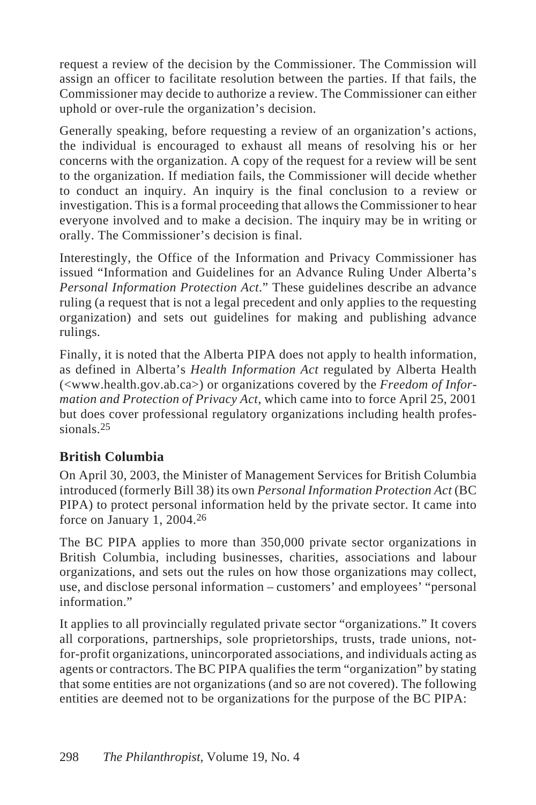request a review of the decision by the Commissioner. The Commission will assign an officer to facilitate resolution between the parties. If that fails, the Commissioner may decide to authorize a review. The Commissioner can either uphold or over-rule the organization's decision.

Generally speaking, before requesting a review of an organization's actions, the individual is encouraged to exhaust all means of resolving his or her concerns with the organization. A copy of the request for a review will be sent to the organization. If mediation fails, the Commissioner will decide whether to conduct an inquiry. An inquiry is the final conclusion to a review or investigation. This is a formal proceeding that allows the Commissioner to hear everyone involved and to make a decision. The inquiry may be in writing or orally. The Commissioner's decision is final.

Interestingly, the Office of the Information and Privacy Commissioner has issued "Information and Guidelines for an Advance Ruling Under Alberta's *Personal Information Protection Act*." These guidelines describe an advance ruling (a request that is not a legal precedent and only applies to the requesting organization) and sets out guidelines for making and publishing advance rulings.

Finally, it is noted that the Alberta PIPA does not apply to health information, as defined in Alberta's *Health Information Act* regulated by Alberta Health (<www.health.gov.ab.ca>) or organizations covered by the *Freedom of Information and Protection of Privacy Act*, which came into to force April 25, 2001 but does cover professional regulatory organizations including health professionals.25

## **British Columbia**

On April 30, 2003, the Minister of Management Services for British Columbia introduced (formerly Bill 38) its own *Personal Information Protection Act* (BC PIPA) to protect personal information held by the private sector. It came into force on January 1, 2004.26

The BC PIPA applies to more than 350,000 private sector organizations in British Columbia, including businesses, charities, associations and labour organizations, and sets out the rules on how those organizations may collect, use, and disclose personal information – customers' and employees' "personal information"

It applies to all provincially regulated private sector "organizations." It covers all corporations, partnerships, sole proprietorships, trusts, trade unions, notfor-profit organizations, unincorporated associations, and individuals acting as agents or contractors. The BC PIPA qualifies the term "organization" by stating that some entities are not organizations (and so are not covered). The following entities are deemed not to be organizations for the purpose of the BC PIPA: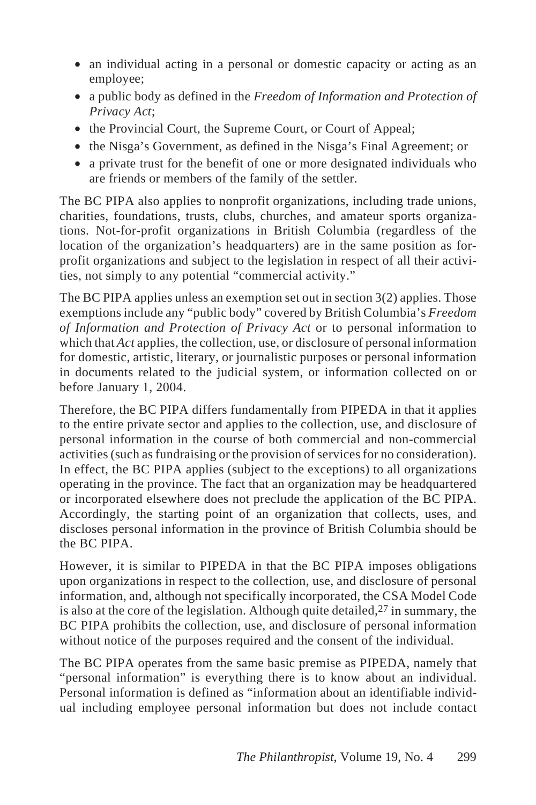- an individual acting in a personal or domestic capacity or acting as an employee;
- a public body as defined in the *Freedom of Information and Protection of Privacy Act*;
- the Provincial Court, the Supreme Court, or Court of Appeal;
- the Nisga's Government, as defined in the Nisga's Final Agreement; or
- a private trust for the benefit of one or more designated individuals who are friends or members of the family of the settler.

The BC PIPA also applies to nonprofit organizations, including trade unions, charities, foundations, trusts, clubs, churches, and amateur sports organizations. Not-for-profit organizations in British Columbia (regardless of the location of the organization's headquarters) are in the same position as forprofit organizations and subject to the legislation in respect of all their activities, not simply to any potential "commercial activity."

The BC PIPA applies unless an exemption set out in section 3(2) applies. Those exemptions include any "public body" covered by British Columbia's *Freedom of Information and Protection of Privacy Act* or to personal information to which that *Act* applies, the collection, use, or disclosure of personal information for domestic, artistic, literary, or journalistic purposes or personal information in documents related to the judicial system, or information collected on or before January 1, 2004.

Therefore, the BC PIPA differs fundamentally from PIPEDA in that it applies to the entire private sector and applies to the collection, use, and disclosure of personal information in the course of both commercial and non-commercial activities (such as fundraising or the provision of services for no consideration). In effect, the BC PIPA applies (subject to the exceptions) to all organizations operating in the province. The fact that an organization may be headquartered or incorporated elsewhere does not preclude the application of the BC PIPA. Accordingly, the starting point of an organization that collects, uses, and discloses personal information in the province of British Columbia should be the BC PIPA.

However, it is similar to PIPEDA in that the BC PIPA imposes obligations upon organizations in respect to the collection, use, and disclosure of personal information, and, although not specifically incorporated, the CSA Model Code is also at the core of the legislation. Although quite detailed,  $27$  in summary, the BC PIPA prohibits the collection, use, and disclosure of personal information without notice of the purposes required and the consent of the individual.

The BC PIPA operates from the same basic premise as PIPEDA, namely that "personal information" is everything there is to know about an individual. Personal information is defined as "information about an identifiable individual including employee personal information but does not include contact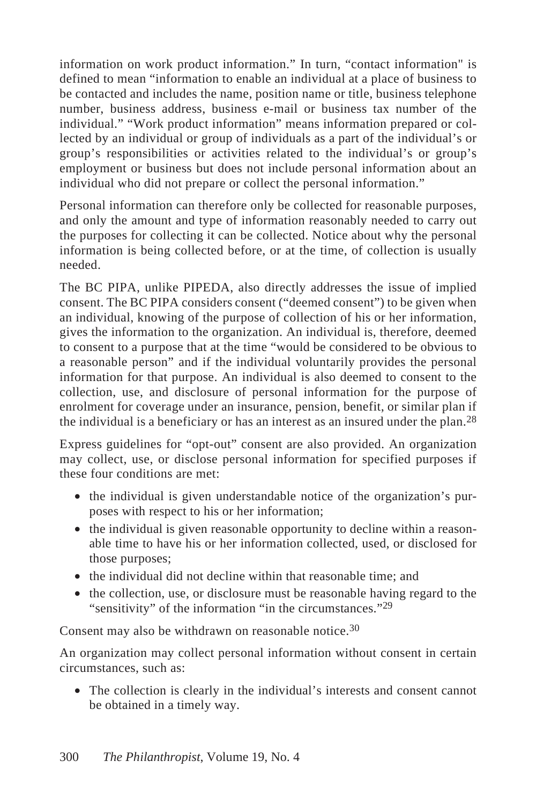information on work product information." In turn, "contact information" is defined to mean "information to enable an individual at a place of business to be contacted and includes the name, position name or title, business telephone number, business address, business e-mail or business tax number of the individual." "Work product information" means information prepared or collected by an individual or group of individuals as a part of the individual's or group's responsibilities or activities related to the individual's or group's employment or business but does not include personal information about an individual who did not prepare or collect the personal information."

Personal information can therefore only be collected for reasonable purposes, and only the amount and type of information reasonably needed to carry out the purposes for collecting it can be collected. Notice about why the personal information is being collected before, or at the time, of collection is usually needed.

The BC PIPA, unlike PIPEDA, also directly addresses the issue of implied consent. The BC PIPA considers consent ("deemed consent") to be given when an individual, knowing of the purpose of collection of his or her information, gives the information to the organization. An individual is, therefore, deemed to consent to a purpose that at the time "would be considered to be obvious to a reasonable person" and if the individual voluntarily provides the personal information for that purpose. An individual is also deemed to consent to the collection, use, and disclosure of personal information for the purpose of enrolment for coverage under an insurance, pension, benefit, or similar plan if the individual is a beneficiary or has an interest as an insured under the plan.28

Express guidelines for "opt-out" consent are also provided. An organization may collect, use, or disclose personal information for specified purposes if these four conditions are met:

- the individual is given understandable notice of the organization's purposes with respect to his or her information;
- the individual is given reasonable opportunity to decline within a reasonable time to have his or her information collected, used, or disclosed for those purposes;
- the individual did not decline within that reasonable time; and
- the collection, use, or disclosure must be reasonable having regard to the "sensitivity" of the information "in the circumstances."<sup>29</sup>

Consent may also be withdrawn on reasonable notice.<sup>30</sup>

An organization may collect personal information without consent in certain circumstances, such as:

• The collection is clearly in the individual's interests and consent cannot be obtained in a timely way.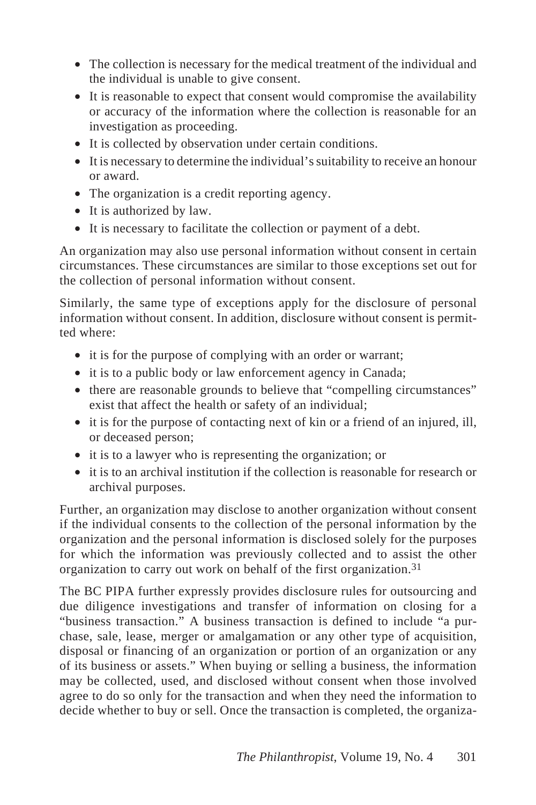- The collection is necessary for the medical treatment of the individual and the individual is unable to give consent.
- It is reasonable to expect that consent would compromise the availability or accuracy of the information where the collection is reasonable for an investigation as proceeding.
- It is collected by observation under certain conditions.
- It is necessary to determine the individual's suitability to receive an honour or award.
- The organization is a credit reporting agency.
- It is authorized by law.
- It is necessary to facilitate the collection or payment of a debt.

An organization may also use personal information without consent in certain circumstances. These circumstances are similar to those exceptions set out for the collection of personal information without consent.

Similarly, the same type of exceptions apply for the disclosure of personal information without consent. In addition, disclosure without consent is permitted where:

- it is for the purpose of complying with an order or warrant;
- it is to a public body or law enforcement agency in Canada;
- there are reasonable grounds to believe that "compelling circumstances" exist that affect the health or safety of an individual;
- it is for the purpose of contacting next of kin or a friend of an injured, ill, or deceased person;
- it is to a lawyer who is representing the organization; or
- it is to an archival institution if the collection is reasonable for research or archival purposes.

Further, an organization may disclose to another organization without consent if the individual consents to the collection of the personal information by the organization and the personal information is disclosed solely for the purposes for which the information was previously collected and to assist the other organization to carry out work on behalf of the first organization.31

The BC PIPA further expressly provides disclosure rules for outsourcing and due diligence investigations and transfer of information on closing for a "business transaction." A business transaction is defined to include "a purchase, sale, lease, merger or amalgamation or any other type of acquisition, disposal or financing of an organization or portion of an organization or any of its business or assets." When buying or selling a business, the information may be collected, used, and disclosed without consent when those involved agree to do so only for the transaction and when they need the information to decide whether to buy or sell. Once the transaction is completed, the organiza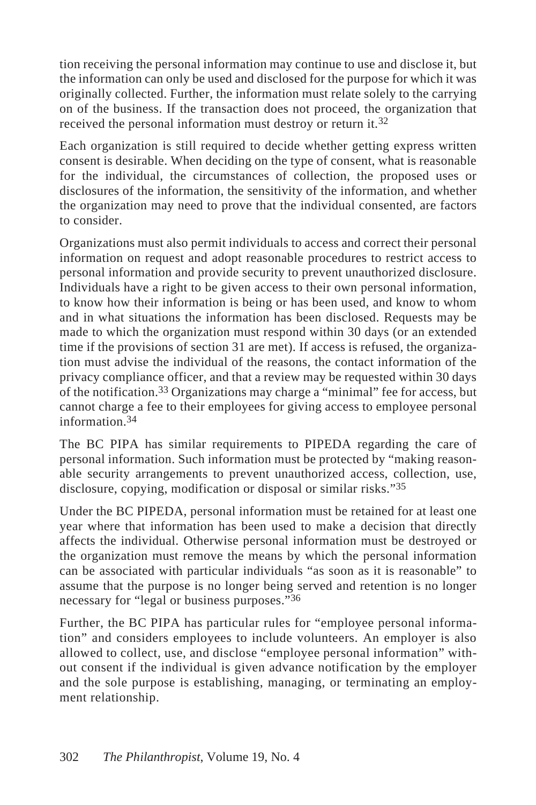tion receiving the personal information may continue to use and disclose it, but the information can only be used and disclosed for the purpose for which it was originally collected. Further, the information must relate solely to the carrying on of the business. If the transaction does not proceed, the organization that received the personal information must destroy or return it.32

Each organization is still required to decide whether getting express written consent is desirable. When deciding on the type of consent, what is reasonable for the individual, the circumstances of collection, the proposed uses or disclosures of the information, the sensitivity of the information, and whether the organization may need to prove that the individual consented, are factors to consider.

Organizations must also permit individuals to access and correct their personal information on request and adopt reasonable procedures to restrict access to personal information and provide security to prevent unauthorized disclosure. Individuals have a right to be given access to their own personal information, to know how their information is being or has been used, and know to whom and in what situations the information has been disclosed. Requests may be made to which the organization must respond within 30 days (or an extended time if the provisions of section 31 are met). If access is refused, the organization must advise the individual of the reasons, the contact information of the privacy compliance officer, and that a review may be requested within 30 days of the notification.33 Organizations may charge a "minimal" fee for access, but cannot charge a fee to their employees for giving access to employee personal information.34

The BC PIPA has similar requirements to PIPEDA regarding the care of personal information. Such information must be protected by "making reasonable security arrangements to prevent unauthorized access, collection, use, disclosure, copying, modification or disposal or similar risks."35

Under the BC PIPEDA, personal information must be retained for at least one year where that information has been used to make a decision that directly affects the individual. Otherwise personal information must be destroyed or the organization must remove the means by which the personal information can be associated with particular individuals "as soon as it is reasonable" to assume that the purpose is no longer being served and retention is no longer necessary for "legal or business purposes."36

Further, the BC PIPA has particular rules for "employee personal information" and considers employees to include volunteers. An employer is also allowed to collect, use, and disclose "employee personal information" without consent if the individual is given advance notification by the employer and the sole purpose is establishing, managing, or terminating an employment relationship.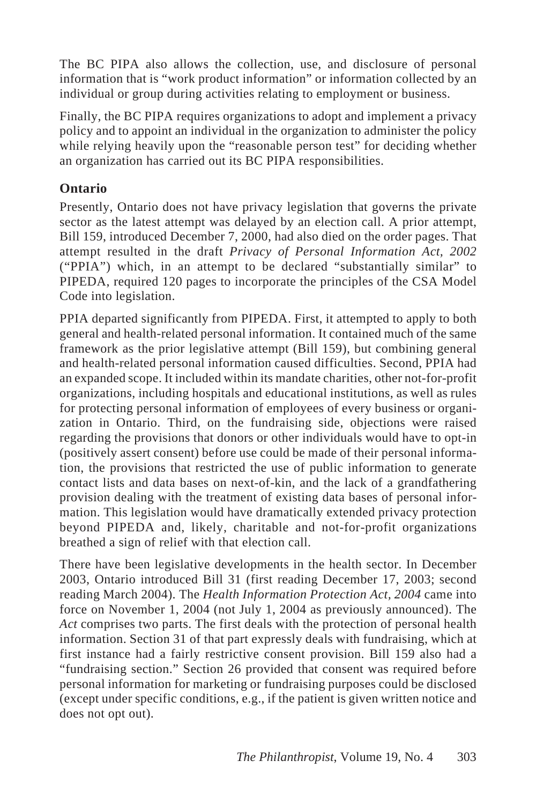The BC PIPA also allows the collection, use, and disclosure of personal information that is "work product information" or information collected by an individual or group during activities relating to employment or business.

Finally, the BC PIPA requires organizations to adopt and implement a privacy policy and to appoint an individual in the organization to administer the policy while relying heavily upon the "reasonable person test" for deciding whether an organization has carried out its BC PIPA responsibilities.

#### **Ontario**

Presently, Ontario does not have privacy legislation that governs the private sector as the latest attempt was delayed by an election call. A prior attempt, Bill 159, introduced December 7, 2000, had also died on the order pages. That attempt resulted in the draft *Privacy of Personal Information Act, 2002* ("PPIA") which, in an attempt to be declared "substantially similar" to PIPEDA, required 120 pages to incorporate the principles of the CSA Model Code into legislation.

PPIA departed significantly from PIPEDA. First, it attempted to apply to both general and health-related personal information. It contained much of the same framework as the prior legislative attempt (Bill 159), but combining general and health-related personal information caused difficulties. Second, PPIA had an expanded scope. It included within its mandate charities, other not-for-profit organizations, including hospitals and educational institutions, as well as rules for protecting personal information of employees of every business or organization in Ontario. Third, on the fundraising side, objections were raised regarding the provisions that donors or other individuals would have to opt-in (positively assert consent) before use could be made of their personal information, the provisions that restricted the use of public information to generate contact lists and data bases on next-of-kin, and the lack of a grandfathering provision dealing with the treatment of existing data bases of personal information. This legislation would have dramatically extended privacy protection beyond PIPEDA and, likely, charitable and not-for-profit organizations breathed a sign of relief with that election call.

There have been legislative developments in the health sector. In December 2003, Ontario introduced Bill 31 (first reading December 17, 2003; second reading March 2004). The *Health Information Protection Act, 2004* came into force on November 1, 2004 (not July 1, 2004 as previously announced). The *Act* comprises two parts. The first deals with the protection of personal health information. Section 31 of that part expressly deals with fundraising, which at first instance had a fairly restrictive consent provision. Bill 159 also had a "fundraising section." Section 26 provided that consent was required before personal information for marketing or fundraising purposes could be disclosed (except under specific conditions, e.g., if the patient is given written notice and does not opt out).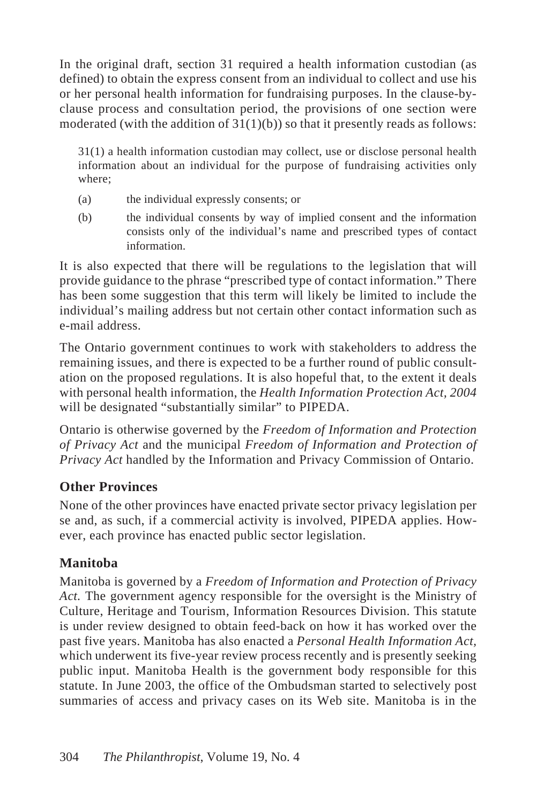In the original draft, section 31 required a health information custodian (as defined) to obtain the express consent from an individual to collect and use his or her personal health information for fundraising purposes. In the clause-byclause process and consultation period, the provisions of one section were moderated (with the addition of  $31(1)(b)$ ) so that it presently reads as follows:

31(1) a health information custodian may collect, use or disclose personal health information about an individual for the purpose of fundraising activities only where;

- (a) the individual expressly consents; or
- (b) the individual consents by way of implied consent and the information consists only of the individual's name and prescribed types of contact information.

It is also expected that there will be regulations to the legislation that will provide guidance to the phrase "prescribed type of contact information." There has been some suggestion that this term will likely be limited to include the individual's mailing address but not certain other contact information such as e-mail address.

The Ontario government continues to work with stakeholders to address the remaining issues, and there is expected to be a further round of public consultation on the proposed regulations. It is also hopeful that, to the extent it deals with personal health information, the *Health Information Protection Act, 2004* will be designated "substantially similar" to PIPEDA.

Ontario is otherwise governed by the *Freedom of Information and Protection of Privacy Act* and the municipal *Freedom of Information and Protection of Privacy Act* handled by the Information and Privacy Commission of Ontario.

#### **Other Provinces**

None of the other provinces have enacted private sector privacy legislation per se and, as such, if a commercial activity is involved, PIPEDA applies. However, each province has enacted public sector legislation.

#### **Manitoba**

Manitoba is governed by a *Freedom of Information and Protection of Privacy Act.* The government agency responsible for the oversight is the Ministry of Culture, Heritage and Tourism, Information Resources Division. This statute is under review designed to obtain feed-back on how it has worked over the past five years. Manitoba has also enacted a *Personal Health Information Act,* which underwent its five-year review process recently and is presently seeking public input. Manitoba Health is the government body responsible for this statute. In June 2003, the office of the Ombudsman started to selectively post summaries of access and privacy cases on its Web site. Manitoba is in the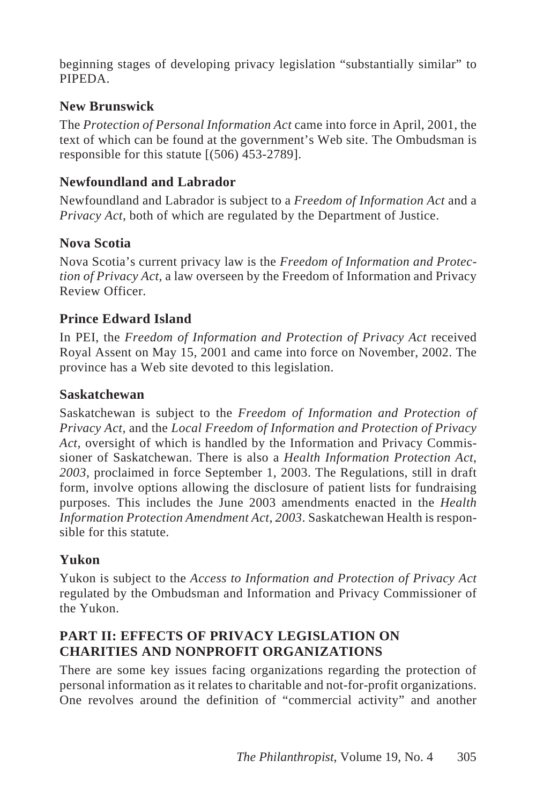beginning stages of developing privacy legislation "substantially similar" to PIPEDA.

#### **New Brunswick**

The *Protection of Personal Information Act* came into force in April, 2001, the text of which can be found at the government's Web site. The Ombudsman is responsible for this statute [(506) 453-2789].

#### **Newfoundland and Labrador**

Newfoundland and Labrador is subject to a *Freedom of Information Act* and a *Privacy Act*, both of which are regulated by the Department of Justice.

## **Nova Scotia**

Nova Scotia's current privacy law is the *Freedom of Information and Protection of Privacy Act,* a law overseen by the Freedom of Information and Privacy Review Officer.

#### **Prince Edward Island**

In PEI, the *Freedom of Information and Protection of Privacy Act* received Royal Assent on May 15, 2001 and came into force on November, 2002. The province has a Web site devoted to this legislation.

#### **Saskatchewan**

Saskatchewan is subject to the *Freedom of Information and Protection of Privacy Act,* and the *Local Freedom of Information and Protection of Privacy Act,* oversight of which is handled by the Information and Privacy Commissioner of Saskatchewan. There is also a *Health Information Protection Act*, *2003*, proclaimed in force September 1, 2003. The Regulations, still in draft form, involve options allowing the disclosure of patient lists for fundraising purposes. This includes the June 2003 amendments enacted in the *Health Information Protection Amendment Act*, *2003*. Saskatchewan Health is responsible for this statute.

#### **Yukon**

Yukon is subject to the *Access to Information and Protection of Privacy Act* regulated by the Ombudsman and Information and Privacy Commissioner of the Yukon.

#### **PART II: EFFECTS OF PRIVACY LEGISLATION ON CHARITIES AND NONPROFIT ORGANIZATIONS**

There are some key issues facing organizations regarding the protection of personal information as it relates to charitable and not-for-profit organizations. One revolves around the definition of "commercial activity" and another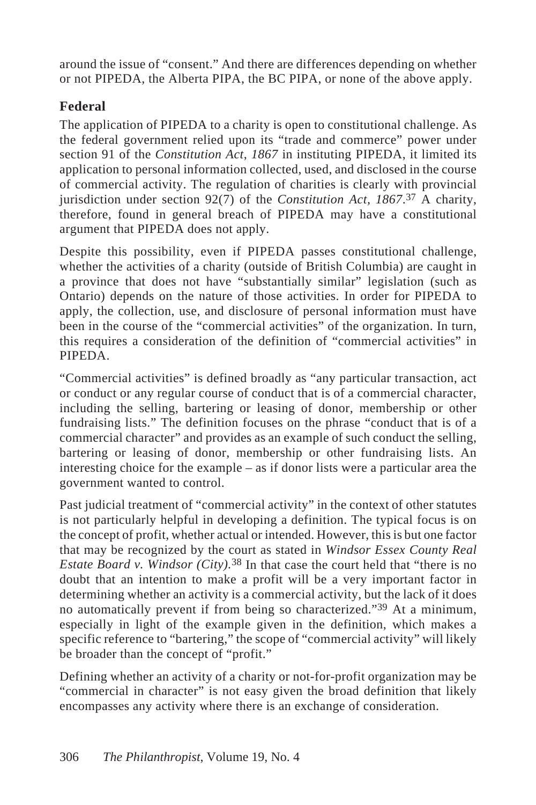around the issue of "consent." And there are differences depending on whether or not PIPEDA, the Alberta PIPA, the BC PIPA, or none of the above apply.

## **Federal**

The application of PIPEDA to a charity is open to constitutional challenge. As the federal government relied upon its "trade and commerce" power under section 91 of the *Constitution Act*, *1867* in instituting PIPEDA, it limited its application to personal information collected, used, and disclosed in the course of commercial activity. The regulation of charities is clearly with provincial jurisdiction under section 92(7) of the *Constitution Act, 1867*.37 A charity, therefore, found in general breach of PIPEDA may have a constitutional argument that PIPEDA does not apply.

Despite this possibility, even if PIPEDA passes constitutional challenge, whether the activities of a charity (outside of British Columbia) are caught in a province that does not have "substantially similar" legislation (such as Ontario) depends on the nature of those activities. In order for PIPEDA to apply, the collection, use, and disclosure of personal information must have been in the course of the "commercial activities" of the organization. In turn, this requires a consideration of the definition of "commercial activities" in **PIPEDA** 

"Commercial activities" is defined broadly as "any particular transaction, act or conduct or any regular course of conduct that is of a commercial character, including the selling, bartering or leasing of donor, membership or other fundraising lists." The definition focuses on the phrase "conduct that is of a commercial character" and provides as an example of such conduct the selling, bartering or leasing of donor, membership or other fundraising lists. An interesting choice for the example – as if donor lists were a particular area the government wanted to control.

Past judicial treatment of "commercial activity" in the context of other statutes is not particularly helpful in developing a definition. The typical focus is on the concept of profit, whether actual or intended. However, this is but one factor that may be recognized by the court as stated in *Windsor Essex County Real Estate Board v. Windsor (City)*.<sup>38</sup> In that case the court held that "there is no doubt that an intention to make a profit will be a very important factor in determining whether an activity is a commercial activity, but the lack of it does no automatically prevent if from being so characterized."39 At a minimum, especially in light of the example given in the definition, which makes a specific reference to "bartering," the scope of "commercial activity" will likely be broader than the concept of "profit."

Defining whether an activity of a charity or not-for-profit organization may be "commercial in character" is not easy given the broad definition that likely encompasses any activity where there is an exchange of consideration.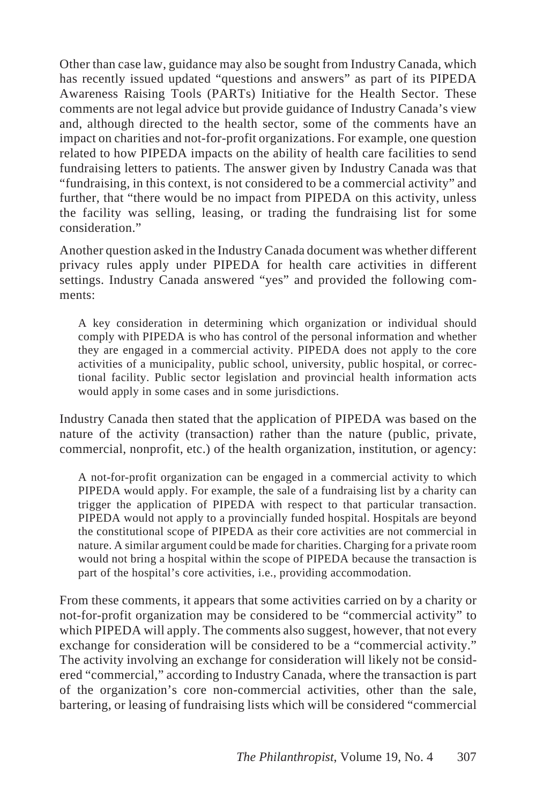Other than case law, guidance may also be sought from Industry Canada, which has recently issued updated "questions and answers" as part of its PIPEDA Awareness Raising Tools (PARTs) Initiative for the Health Sector. These comments are not legal advice but provide guidance of Industry Canada's view and, although directed to the health sector, some of the comments have an impact on charities and not-for-profit organizations. For example, one question related to how PIPEDA impacts on the ability of health care facilities to send fundraising letters to patients. The answer given by Industry Canada was that "fundraising, in this context, is not considered to be a commercial activity" and further, that "there would be no impact from PIPEDA on this activity, unless the facility was selling, leasing, or trading the fundraising list for some consideration."

Another question asked in the Industry Canada document was whether different privacy rules apply under PIPEDA for health care activities in different settings. Industry Canada answered "yes" and provided the following comments:

A key consideration in determining which organization or individual should comply with PIPEDA is who has control of the personal information and whether they are engaged in a commercial activity. PIPEDA does not apply to the core activities of a municipality, public school, university, public hospital, or correctional facility. Public sector legislation and provincial health information acts would apply in some cases and in some jurisdictions.

Industry Canada then stated that the application of PIPEDA was based on the nature of the activity (transaction) rather than the nature (public, private, commercial, nonprofit, etc.) of the health organization, institution, or agency:

A not-for-profit organization can be engaged in a commercial activity to which PIPEDA would apply. For example, the sale of a fundraising list by a charity can trigger the application of PIPEDA with respect to that particular transaction. PIPEDA would not apply to a provincially funded hospital. Hospitals are beyond the constitutional scope of PIPEDA as their core activities are not commercial in nature. A similar argument could be made for charities. Charging for a private room would not bring a hospital within the scope of PIPEDA because the transaction is part of the hospital's core activities, i.e., providing accommodation.

From these comments, it appears that some activities carried on by a charity or not-for-profit organization may be considered to be "commercial activity" to which PIPEDA will apply. The comments also suggest, however, that not every exchange for consideration will be considered to be a "commercial activity." The activity involving an exchange for consideration will likely not be considered "commercial," according to Industry Canada, where the transaction is part of the organization's core non-commercial activities, other than the sale, bartering, or leasing of fundraising lists which will be considered "commercial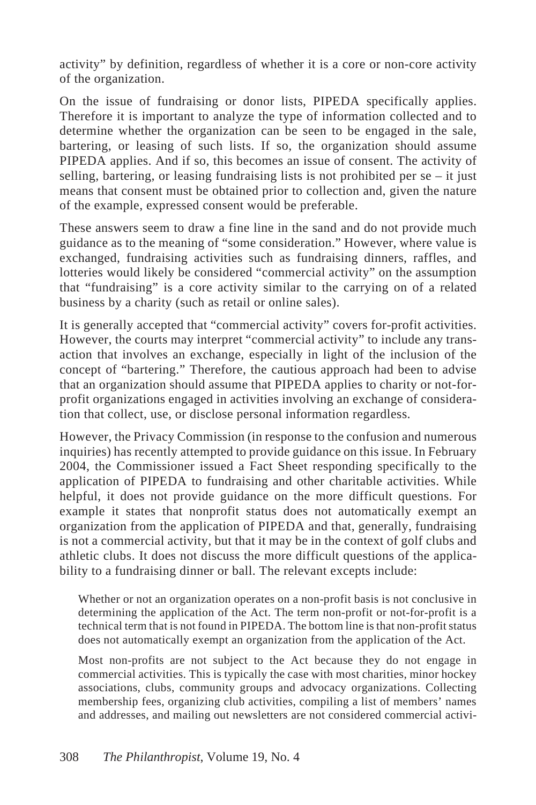activity" by definition, regardless of whether it is a core or non-core activity of the organization.

On the issue of fundraising or donor lists, PIPEDA specifically applies. Therefore it is important to analyze the type of information collected and to determine whether the organization can be seen to be engaged in the sale, bartering, or leasing of such lists. If so, the organization should assume PIPEDA applies. And if so, this becomes an issue of consent. The activity of selling, bartering, or leasing fundraising lists is not prohibited per se – it just means that consent must be obtained prior to collection and, given the nature of the example, expressed consent would be preferable.

These answers seem to draw a fine line in the sand and do not provide much guidance as to the meaning of "some consideration." However, where value is exchanged, fundraising activities such as fundraising dinners, raffles, and lotteries would likely be considered "commercial activity" on the assumption that "fundraising" is a core activity similar to the carrying on of a related business by a charity (such as retail or online sales).

It is generally accepted that "commercial activity" covers for-profit activities. However, the courts may interpret "commercial activity" to include any transaction that involves an exchange, especially in light of the inclusion of the concept of "bartering." Therefore, the cautious approach had been to advise that an organization should assume that PIPEDA applies to charity or not-forprofit organizations engaged in activities involving an exchange of consideration that collect, use, or disclose personal information regardless.

However, the Privacy Commission (in response to the confusion and numerous inquiries) has recently attempted to provide guidance on this issue. In February 2004, the Commissioner issued a Fact Sheet responding specifically to the application of PIPEDA to fundraising and other charitable activities. While helpful, it does not provide guidance on the more difficult questions. For example it states that nonprofit status does not automatically exempt an organization from the application of PIPEDA and that, generally, fundraising is not a commercial activity, but that it may be in the context of golf clubs and athletic clubs. It does not discuss the more difficult questions of the applicability to a fundraising dinner or ball. The relevant excepts include:

Whether or not an organization operates on a non-profit basis is not conclusive in determining the application of the Act. The term non-profit or not-for-profit is a technical term that is not found in PIPEDA. The bottom line is that non-profit status does not automatically exempt an organization from the application of the Act.

Most non-profits are not subject to the Act because they do not engage in commercial activities. This is typically the case with most charities, minor hockey associations, clubs, community groups and advocacy organizations. Collecting membership fees, organizing club activities, compiling a list of members' names and addresses, and mailing out newsletters are not considered commercial activi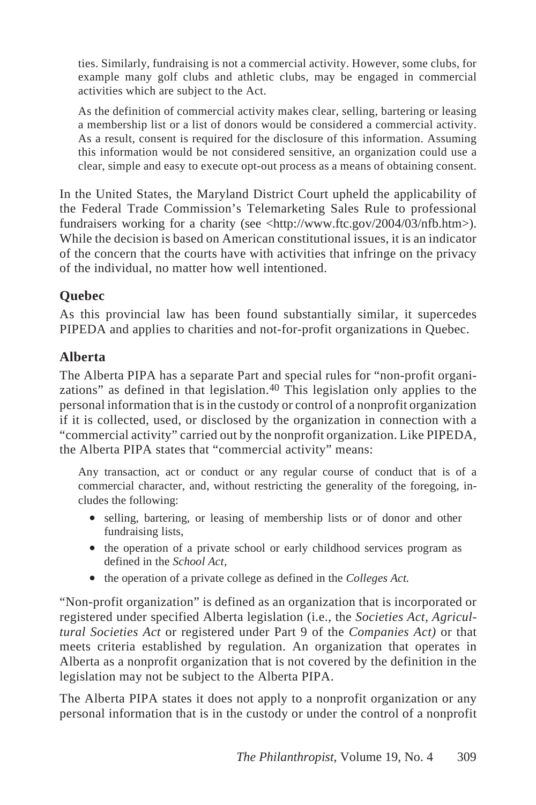ties. Similarly, fundraising is not a commercial activity. However, some clubs, for example many golf clubs and athletic clubs, may be engaged in commercial activities which are subject to the Act.

As the definition of commercial activity makes clear, selling, bartering or leasing a membership list or a list of donors would be considered a commercial activity. As a result, consent is required for the disclosure of this information. Assuming this information would be not considered sensitive, an organization could use a clear, simple and easy to execute opt-out process as a means of obtaining consent.

In the United States, the Maryland District Court upheld the applicability of the Federal Trade Commission's Telemarketing Sales Rule to professional fundraisers working for a charity (see <http://www.ftc.gov/2004/03/nfb.htm>). While the decision is based on American constitutional issues, it is an indicator of the concern that the courts have with activities that infringe on the privacy of the individual, no matter how well intentioned.

## **Quebec**

As this provincial law has been found substantially similar, it supercedes PIPEDA and applies to charities and not-for-profit organizations in Quebec.

#### **Alberta**

The Alberta PIPA has a separate Part and special rules for "non-profit organizations" as defined in that legislation.<sup>40</sup> This legislation only applies to the personal information that is in the custody or control of a nonprofit organization if it is collected, used, or disclosed by the organization in connection with a "commercial activity" carried out by the nonprofit organization. Like PIPEDA, the Alberta PIPA states that "commercial activity" means:

Any transaction, act or conduct or any regular course of conduct that is of a commercial character, and, without restricting the generality of the foregoing, includes the following:

- selling, bartering, or leasing of membership lists or of donor and other fundraising lists,
- the operation of a private school or early childhood services program as defined in the *School Act,*
- the operation of a private college as defined in the *Colleges Act.*

"Non-profit organization" is defined as an organization that is incorporated or registered under specified Alberta legislation (i.e., the *Societies Act, Agricultural Societies Act* or registered under Part 9 of the *Companies Act)* or that meets criteria established by regulation. An organization that operates in Alberta as a nonprofit organization that is not covered by the definition in the legislation may not be subject to the Alberta PIPA.

The Alberta PIPA states it does not apply to a nonprofit organization or any personal information that is in the custody or under the control of a nonprofit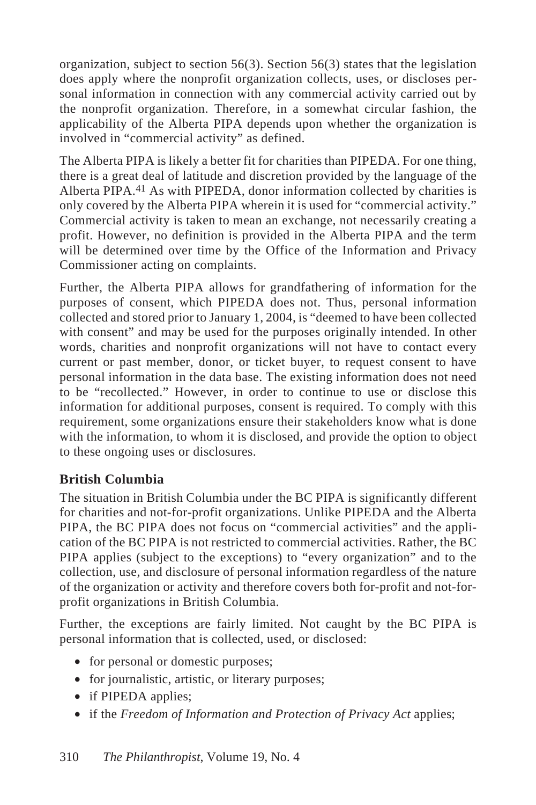organization, subject to section 56(3). Section 56(3) states that the legislation does apply where the nonprofit organization collects, uses, or discloses personal information in connection with any commercial activity carried out by the nonprofit organization. Therefore, in a somewhat circular fashion, the applicability of the Alberta PIPA depends upon whether the organization is involved in "commercial activity" as defined.

The Alberta PIPA is likely a better fit for charities than PIPEDA. For one thing, there is a great deal of latitude and discretion provided by the language of the Alberta PIPA.41 As with PIPEDA, donor information collected by charities is only covered by the Alberta PIPA wherein it is used for "commercial activity." Commercial activity is taken to mean an exchange, not necessarily creating a profit. However, no definition is provided in the Alberta PIPA and the term will be determined over time by the Office of the Information and Privacy Commissioner acting on complaints.

Further, the Alberta PIPA allows for grandfathering of information for the purposes of consent, which PIPEDA does not. Thus, personal information collected and stored prior to January 1, 2004, is "deemed to have been collected with consent" and may be used for the purposes originally intended. In other words, charities and nonprofit organizations will not have to contact every current or past member, donor, or ticket buyer, to request consent to have personal information in the data base. The existing information does not need to be "recollected." However, in order to continue to use or disclose this information for additional purposes, consent is required. To comply with this requirement, some organizations ensure their stakeholders know what is done with the information, to whom it is disclosed, and provide the option to object to these ongoing uses or disclosures.

#### **British Columbia**

The situation in British Columbia under the BC PIPA is significantly different for charities and not-for-profit organizations. Unlike PIPEDA and the Alberta PIPA, the BC PIPA does not focus on "commercial activities" and the application of the BC PIPA is not restricted to commercial activities. Rather, the BC PIPA applies (subject to the exceptions) to "every organization" and to the collection, use, and disclosure of personal information regardless of the nature of the organization or activity and therefore covers both for-profit and not-forprofit organizations in British Columbia.

Further, the exceptions are fairly limited. Not caught by the BC PIPA is personal information that is collected, used, or disclosed:

- for personal or domestic purposes;
- for journalistic, artistic, or literary purposes;
- if PIPEDA applies;
- if the *Freedom of Information and Protection of Privacy Act* applies;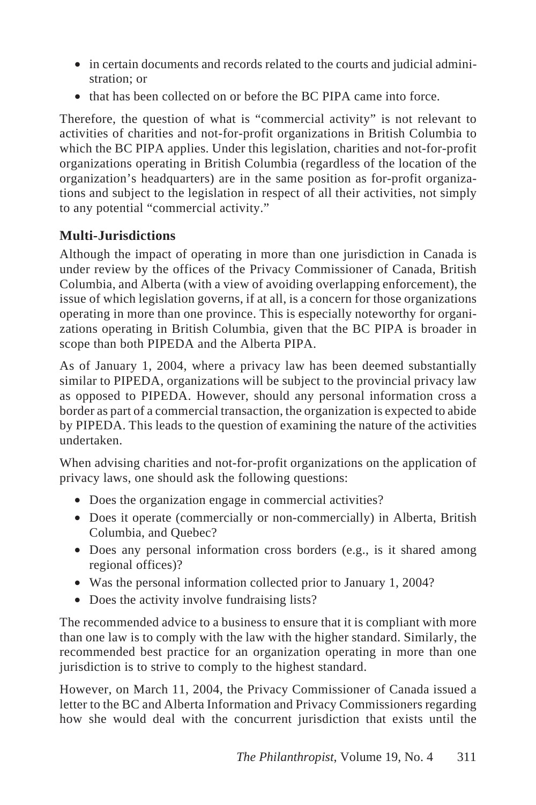- in certain documents and records related to the courts and judicial administration; or
- that has been collected on or before the BC PIPA came into force.

Therefore, the question of what is "commercial activity" is not relevant to activities of charities and not-for-profit organizations in British Columbia to which the BC PIPA applies. Under this legislation, charities and not-for-profit organizations operating in British Columbia (regardless of the location of the organization's headquarters) are in the same position as for-profit organizations and subject to the legislation in respect of all their activities, not simply to any potential "commercial activity."

# **Multi-Jurisdictions**

Although the impact of operating in more than one jurisdiction in Canada is under review by the offices of the Privacy Commissioner of Canada, British Columbia, and Alberta (with a view of avoiding overlapping enforcement), the issue of which legislation governs, if at all, is a concern for those organizations operating in more than one province. This is especially noteworthy for organizations operating in British Columbia, given that the BC PIPA is broader in scope than both PIPEDA and the Alberta PIPA.

As of January 1, 2004, where a privacy law has been deemed substantially similar to PIPEDA, organizations will be subject to the provincial privacy law as opposed to PIPEDA. However, should any personal information cross a border as part of a commercial transaction, the organization is expected to abide by PIPEDA. This leads to the question of examining the nature of the activities undertaken.

When advising charities and not-for-profit organizations on the application of privacy laws, one should ask the following questions:

- Does the organization engage in commercial activities?
- Does it operate (commercially or non-commercially) in Alberta, British Columbia, and Quebec?
- Does any personal information cross borders (e.g., is it shared among regional offices)?
- Was the personal information collected prior to January 1, 2004?
- Does the activity involve fundraising lists?

The recommended advice to a business to ensure that it is compliant with more than one law is to comply with the law with the higher standard. Similarly, the recommended best practice for an organization operating in more than one jurisdiction is to strive to comply to the highest standard.

However, on March 11, 2004, the Privacy Commissioner of Canada issued a letter to the BC and Alberta Information and Privacy Commissioners regarding how she would deal with the concurrent jurisdiction that exists until the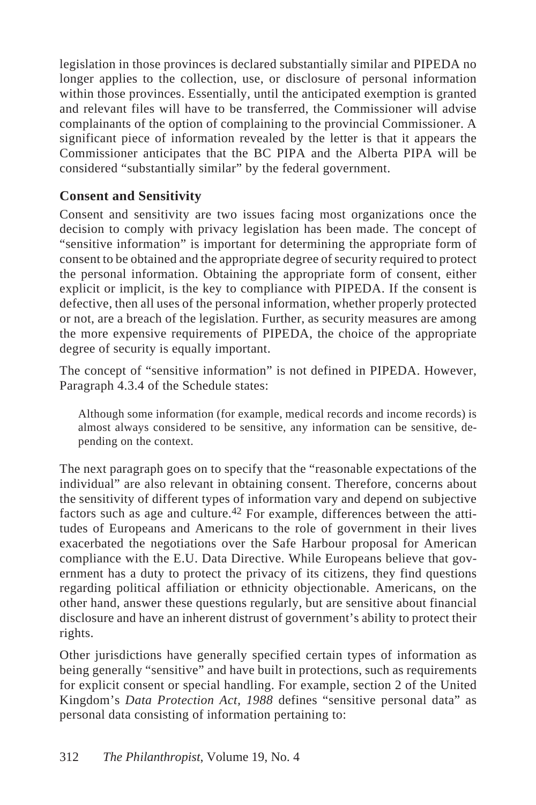legislation in those provinces is declared substantially similar and PIPEDA no longer applies to the collection, use, or disclosure of personal information within those provinces. Essentially, until the anticipated exemption is granted and relevant files will have to be transferred, the Commissioner will advise complainants of the option of complaining to the provincial Commissioner. A significant piece of information revealed by the letter is that it appears the Commissioner anticipates that the BC PIPA and the Alberta PIPA will be considered "substantially similar" by the federal government.

#### **Consent and Sensitivity**

Consent and sensitivity are two issues facing most organizations once the decision to comply with privacy legislation has been made. The concept of "sensitive information" is important for determining the appropriate form of consent to be obtained and the appropriate degree of security required to protect the personal information. Obtaining the appropriate form of consent, either explicit or implicit, is the key to compliance with PIPEDA. If the consent is defective, then all uses of the personal information, whether properly protected or not, are a breach of the legislation. Further, as security measures are among the more expensive requirements of PIPEDA, the choice of the appropriate degree of security is equally important.

The concept of "sensitive information" is not defined in PIPEDA. However, Paragraph 4.3.4 of the Schedule states:

Although some information (for example, medical records and income records) is almost always considered to be sensitive, any information can be sensitive, depending on the context.

The next paragraph goes on to specify that the "reasonable expectations of the individual" are also relevant in obtaining consent. Therefore, concerns about the sensitivity of different types of information vary and depend on subjective factors such as age and culture.42 For example, differences between the attitudes of Europeans and Americans to the role of government in their lives exacerbated the negotiations over the Safe Harbour proposal for American compliance with the E.U. Data Directive. While Europeans believe that government has a duty to protect the privacy of its citizens, they find questions regarding political affiliation or ethnicity objectionable. Americans, on the other hand, answer these questions regularly, but are sensitive about financial disclosure and have an inherent distrust of government's ability to protect their rights.

Other jurisdictions have generally specified certain types of information as being generally "sensitive" and have built in protections, such as requirements for explicit consent or special handling. For example, section 2 of the United Kingdom's *Data Protection Act, 1988* defines "sensitive personal data" as personal data consisting of information pertaining to: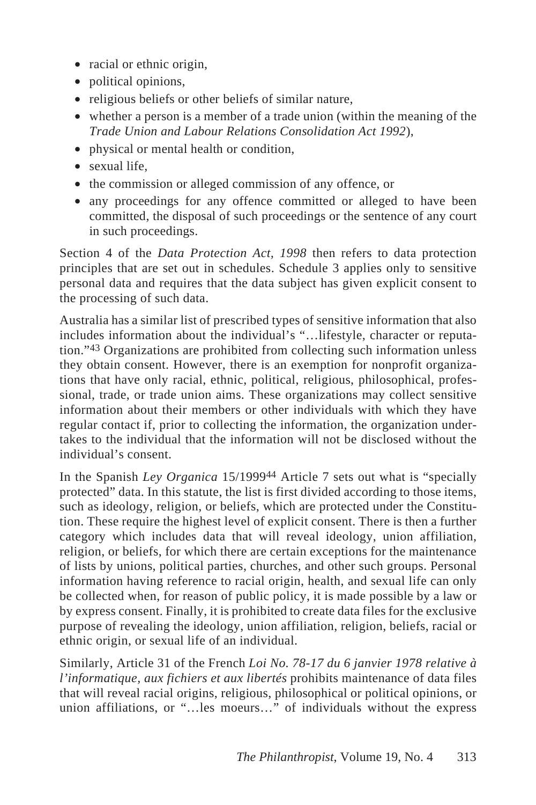- racial or ethnic origin,
- political opinions,
- religious beliefs or other beliefs of similar nature,
- whether a person is a member of a trade union (within the meaning of the *Trade Union and Labour Relations Consolidation Act 1992*),
- physical or mental health or condition,
- sexual life,
- the commission or alleged commission of any offence, or
- any proceedings for any offence committed or alleged to have been committed, the disposal of such proceedings or the sentence of any court in such proceedings.

Section 4 of the *Data Protection Act, 1998* then refers to data protection principles that are set out in schedules. Schedule 3 applies only to sensitive personal data and requires that the data subject has given explicit consent to the processing of such data.

Australia has a similar list of prescribed types of sensitive information that also includes information about the individual's "…lifestyle, character or reputation."43 Organizations are prohibited from collecting such information unless they obtain consent. However, there is an exemption for nonprofit organizations that have only racial, ethnic, political, religious, philosophical, professional, trade, or trade union aims. These organizations may collect sensitive information about their members or other individuals with which they have regular contact if, prior to collecting the information, the organization undertakes to the individual that the information will not be disclosed without the individual's consent.

In the Spanish *Ley Organica* 15/199944 Article 7 sets out what is "specially protected" data. In this statute, the list is first divided according to those items, such as ideology, religion, or beliefs, which are protected under the Constitution. These require the highest level of explicit consent. There is then a further category which includes data that will reveal ideology, union affiliation, religion, or beliefs, for which there are certain exceptions for the maintenance of lists by unions, political parties, churches, and other such groups. Personal information having reference to racial origin, health, and sexual life can only be collected when, for reason of public policy, it is made possible by a law or by express consent. Finally, it is prohibited to create data files for the exclusive purpose of revealing the ideology, union affiliation, religion, beliefs, racial or ethnic origin, or sexual life of an individual.

Similarly, Article 31 of the French *Loi No. 78-17 du 6 janvier 1978 relative à l'informatique, aux fichiers et aux libertés* prohibits maintenance of data files that will reveal racial origins, religious, philosophical or political opinions, or union affiliations, or "…les moeurs…" of individuals without the express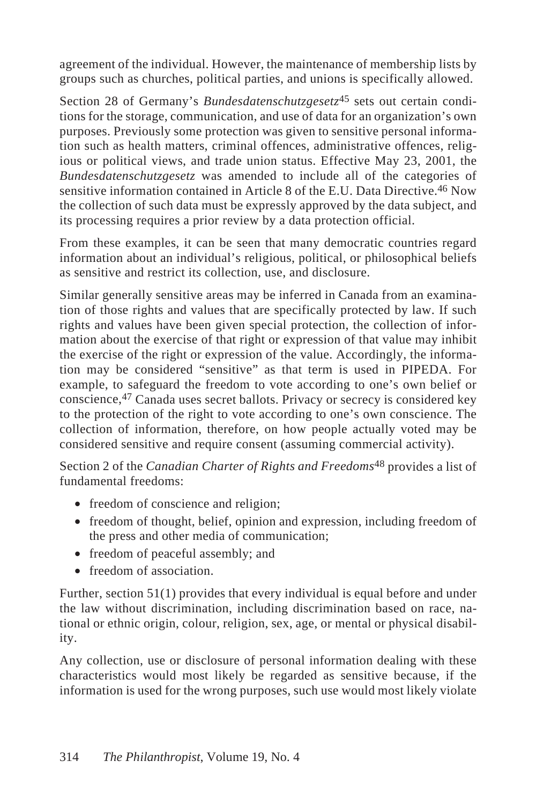agreement of the individual. However, the maintenance of membership lists by groups such as churches, political parties, and unions is specifically allowed.

Section 28 of Germany's *Bundesdatenschutzgesetz*45 sets out certain conditions for the storage, communication, and use of data for an organization's own purposes. Previously some protection was given to sensitive personal information such as health matters, criminal offences, administrative offences, religious or political views, and trade union status. Effective May 23, 2001, the *Bundesdatenschutzgesetz* was amended to include all of the categories of sensitive information contained in Article 8 of the E.U. Data Directive.46 Now the collection of such data must be expressly approved by the data subject, and its processing requires a prior review by a data protection official.

From these examples, it can be seen that many democratic countries regard information about an individual's religious, political, or philosophical beliefs as sensitive and restrict its collection, use, and disclosure.

Similar generally sensitive areas may be inferred in Canada from an examination of those rights and values that are specifically protected by law. If such rights and values have been given special protection, the collection of information about the exercise of that right or expression of that value may inhibit the exercise of the right or expression of the value. Accordingly, the information may be considered "sensitive" as that term is used in PIPEDA. For example, to safeguard the freedom to vote according to one's own belief or conscience,47 Canada uses secret ballots. Privacy or secrecy is considered key to the protection of the right to vote according to one's own conscience. The collection of information, therefore, on how people actually voted may be considered sensitive and require consent (assuming commercial activity).

Section 2 of the *Canadian Charter of Rights and Freedoms*48 provides a list of fundamental freedoms:

- freedom of conscience and religion;
- freedom of thought, belief, opinion and expression, including freedom of the press and other media of communication;
- freedom of peaceful assembly; and
- freedom of association.

Further, section 51(1) provides that every individual is equal before and under the law without discrimination, including discrimination based on race, national or ethnic origin, colour, religion, sex, age, or mental or physical disability.

Any collection, use or disclosure of personal information dealing with these characteristics would most likely be regarded as sensitive because, if the information is used for the wrong purposes, such use would most likely violate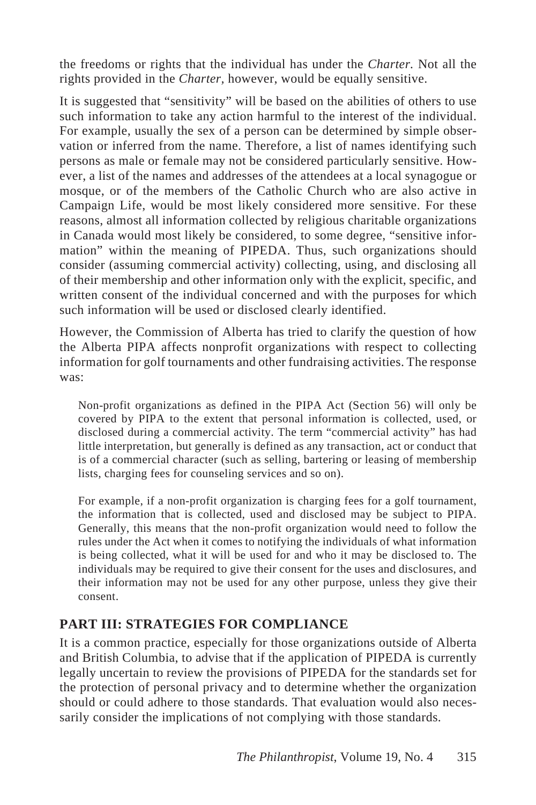the freedoms or rights that the individual has under the *Charter.* Not all the rights provided in the *Charter,* however, would be equally sensitive.

It is suggested that "sensitivity" will be based on the abilities of others to use such information to take any action harmful to the interest of the individual. For example, usually the sex of a person can be determined by simple observation or inferred from the name. Therefore, a list of names identifying such persons as male or female may not be considered particularly sensitive. However, a list of the names and addresses of the attendees at a local synagogue or mosque, or of the members of the Catholic Church who are also active in Campaign Life, would be most likely considered more sensitive. For these reasons, almost all information collected by religious charitable organizations in Canada would most likely be considered, to some degree, "sensitive information" within the meaning of PIPEDA. Thus, such organizations should consider (assuming commercial activity) collecting, using, and disclosing all of their membership and other information only with the explicit, specific, and written consent of the individual concerned and with the purposes for which such information will be used or disclosed clearly identified.

However, the Commission of Alberta has tried to clarify the question of how the Alberta PIPA affects nonprofit organizations with respect to collecting information for golf tournaments and other fundraising activities. The response was:

Non-profit organizations as defined in the PIPA Act (Section 56) will only be covered by PIPA to the extent that personal information is collected, used, or disclosed during a commercial activity. The term "commercial activity" has had little interpretation, but generally is defined as any transaction, act or conduct that is of a commercial character (such as selling, bartering or leasing of membership lists, charging fees for counseling services and so on).

For example, if a non-profit organization is charging fees for a golf tournament, the information that is collected, used and disclosed may be subject to PIPA. Generally, this means that the non-profit organization would need to follow the rules under the Act when it comes to notifying the individuals of what information is being collected, what it will be used for and who it may be disclosed to. The individuals may be required to give their consent for the uses and disclosures, and their information may not be used for any other purpose, unless they give their consent.

## **PART III: STRATEGIES FOR COMPLIANCE**

It is a common practice, especially for those organizations outside of Alberta and British Columbia, to advise that if the application of PIPEDA is currently legally uncertain to review the provisions of PIPEDA for the standards set for the protection of personal privacy and to determine whether the organization should or could adhere to those standards. That evaluation would also necessarily consider the implications of not complying with those standards.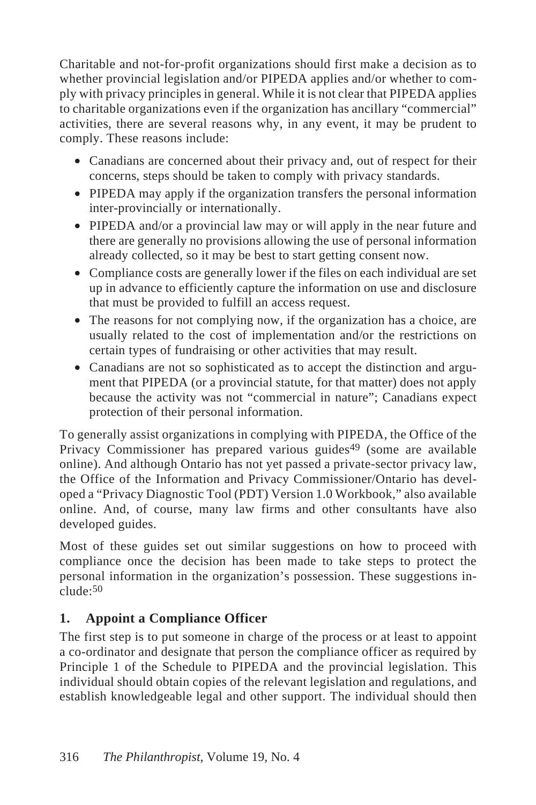Charitable and not-for-profit organizations should first make a decision as to whether provincial legislation and/or PIPEDA applies and/or whether to comply with privacy principles in general. While it is not clear that PIPEDA applies to charitable organizations even if the organization has ancillary "commercial" activities, there are several reasons why, in any event, it may be prudent to comply. These reasons include:

- Canadians are concerned about their privacy and, out of respect for their concerns, steps should be taken to comply with privacy standards.
- PIPEDA may apply if the organization transfers the personal information inter-provincially or internationally.
- PIPEDA and/or a provincial law may or will apply in the near future and there are generally no provisions allowing the use of personal information already collected, so it may be best to start getting consent now.
- Compliance costs are generally lower if the files on each individual are set up in advance to efficiently capture the information on use and disclosure that must be provided to fulfill an access request.
- The reasons for not complying now, if the organization has a choice, are usually related to the cost of implementation and/or the restrictions on certain types of fundraising or other activities that may result.
- Canadians are not so sophisticated as to accept the distinction and argument that PIPEDA (or a provincial statute, for that matter) does not apply because the activity was not "commercial in nature"; Canadians expect protection of their personal information.

To generally assist organizations in complying with PIPEDA, the Office of the Privacy Commissioner has prepared various guides<sup>49</sup> (some are available online). And although Ontario has not yet passed a private-sector privacy law, the Office of the Information and Privacy Commissioner/Ontario has developed a "Privacy Diagnostic Tool (PDT) Version 1.0 Workbook," also available online. And, of course, many law firms and other consultants have also developed guides.

Most of these guides set out similar suggestions on how to proceed with compliance once the decision has been made to take steps to protect the personal information in the organization's possession. These suggestions in $clude.50$ 

## **1. Appoint a Compliance Officer**

The first step is to put someone in charge of the process or at least to appoint a co-ordinator and designate that person the compliance officer as required by Principle 1 of the Schedule to PIPEDA and the provincial legislation. This individual should obtain copies of the relevant legislation and regulations, and establish knowledgeable legal and other support. The individual should then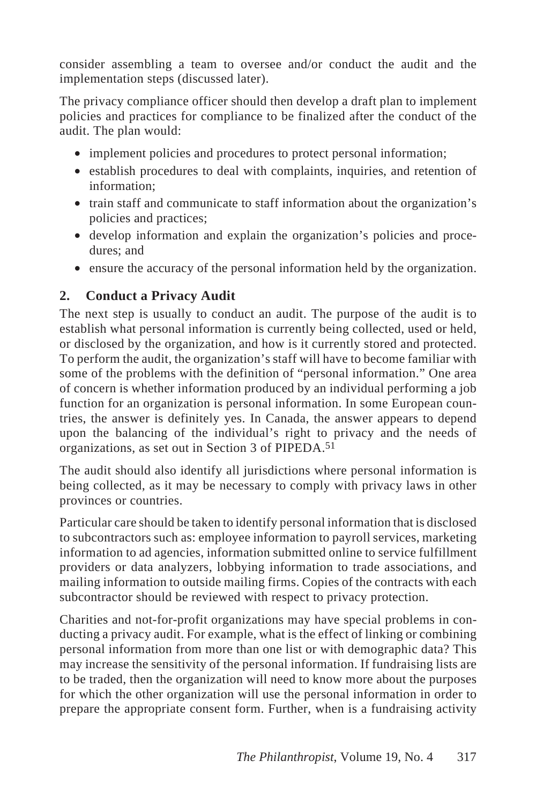consider assembling a team to oversee and/or conduct the audit and the implementation steps (discussed later).

The privacy compliance officer should then develop a draft plan to implement policies and practices for compliance to be finalized after the conduct of the audit. The plan would:

- implement policies and procedures to protect personal information;
- establish procedures to deal with complaints, inquiries, and retention of information;
- train staff and communicate to staff information about the organization's policies and practices;
- develop information and explain the organization's policies and procedures; and
- ensure the accuracy of the personal information held by the organization.

## **2. Conduct a Privacy Audit**

The next step is usually to conduct an audit. The purpose of the audit is to establish what personal information is currently being collected, used or held, or disclosed by the organization, and how is it currently stored and protected. To perform the audit, the organization's staff will have to become familiar with some of the problems with the definition of "personal information." One area of concern is whether information produced by an individual performing a job function for an organization is personal information. In some European countries, the answer is definitely yes. In Canada, the answer appears to depend upon the balancing of the individual's right to privacy and the needs of organizations, as set out in Section 3 of PIPEDA.51

The audit should also identify all jurisdictions where personal information is being collected, as it may be necessary to comply with privacy laws in other provinces or countries.

Particular care should be taken to identify personal information that is disclosed to subcontractors such as: employee information to payroll services, marketing information to ad agencies, information submitted online to service fulfillment providers or data analyzers, lobbying information to trade associations, and mailing information to outside mailing firms. Copies of the contracts with each subcontractor should be reviewed with respect to privacy protection.

Charities and not-for-profit organizations may have special problems in conducting a privacy audit. For example, what is the effect of linking or combining personal information from more than one list or with demographic data? This may increase the sensitivity of the personal information. If fundraising lists are to be traded, then the organization will need to know more about the purposes for which the other organization will use the personal information in order to prepare the appropriate consent form. Further, when is a fundraising activity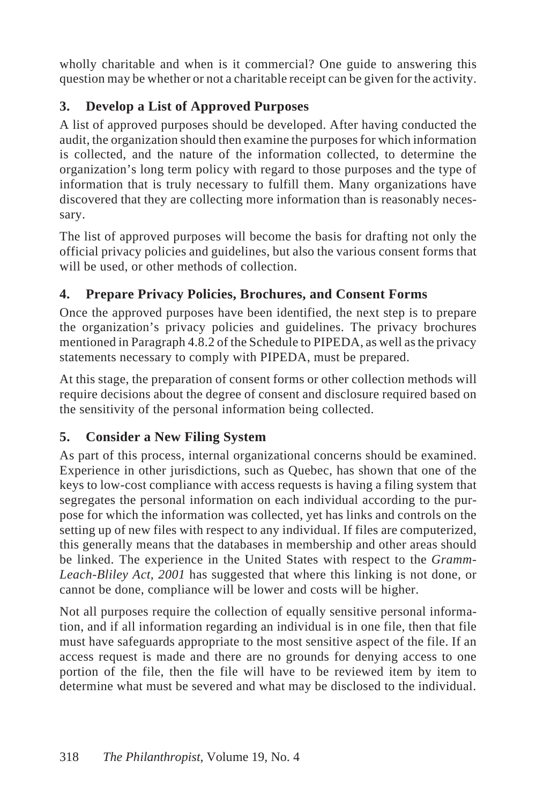wholly charitable and when is it commercial? One guide to answering this question may be whether or not a charitable receipt can be given for the activity.

## **3. Develop a List of Approved Purposes**

A list of approved purposes should be developed. After having conducted the audit, the organization should then examine the purposes for which information is collected, and the nature of the information collected, to determine the organization's long term policy with regard to those purposes and the type of information that is truly necessary to fulfill them. Many organizations have discovered that they are collecting more information than is reasonably necessary.

The list of approved purposes will become the basis for drafting not only the official privacy policies and guidelines, but also the various consent forms that will be used, or other methods of collection.

## **4. Prepare Privacy Policies, Brochures, and Consent Forms**

Once the approved purposes have been identified, the next step is to prepare the organization's privacy policies and guidelines. The privacy brochures mentioned in Paragraph 4.8.2 of the Schedule to PIPEDA, as well as the privacy statements necessary to comply with PIPEDA, must be prepared.

At this stage, the preparation of consent forms or other collection methods will require decisions about the degree of consent and disclosure required based on the sensitivity of the personal information being collected.

## **5. Consider a New Filing System**

As part of this process, internal organizational concerns should be examined. Experience in other jurisdictions, such as Quebec, has shown that one of the keys to low-cost compliance with access requests is having a filing system that segregates the personal information on each individual according to the purpose for which the information was collected, yet has links and controls on the setting up of new files with respect to any individual. If files are computerized, this generally means that the databases in membership and other areas should be linked. The experience in the United States with respect to the *Gramm-Leach-Bliley Act, 2001* has suggested that where this linking is not done, or cannot be done, compliance will be lower and costs will be higher.

Not all purposes require the collection of equally sensitive personal information, and if all information regarding an individual is in one file, then that file must have safeguards appropriate to the most sensitive aspect of the file. If an access request is made and there are no grounds for denying access to one portion of the file, then the file will have to be reviewed item by item to determine what must be severed and what may be disclosed to the individual.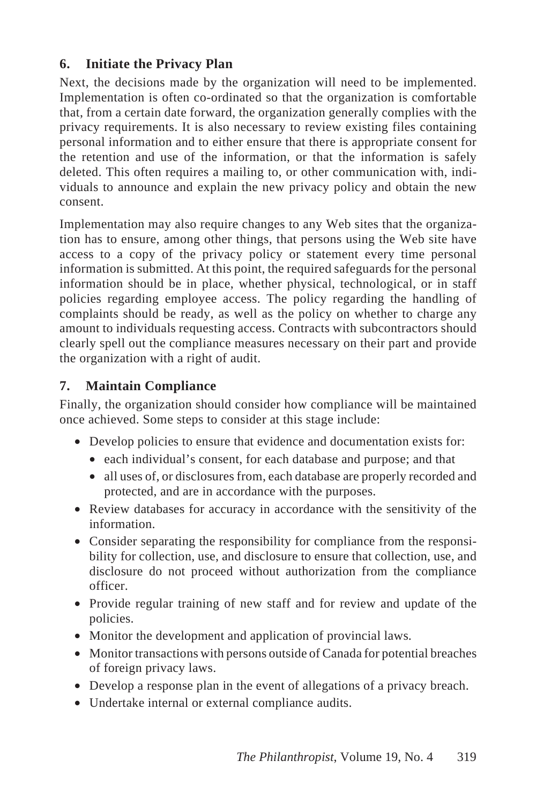## **6. Initiate the Privacy Plan**

Next, the decisions made by the organization will need to be implemented. Implementation is often co-ordinated so that the organization is comfortable that, from a certain date forward, the organization generally complies with the privacy requirements. It is also necessary to review existing files containing personal information and to either ensure that there is appropriate consent for the retention and use of the information, or that the information is safely deleted. This often requires a mailing to, or other communication with, individuals to announce and explain the new privacy policy and obtain the new consent.

Implementation may also require changes to any Web sites that the organization has to ensure, among other things, that persons using the Web site have access to a copy of the privacy policy or statement every time personal information is submitted. At this point, the required safeguards for the personal information should be in place, whether physical, technological, or in staff policies regarding employee access. The policy regarding the handling of complaints should be ready, as well as the policy on whether to charge any amount to individuals requesting access. Contracts with subcontractors should clearly spell out the compliance measures necessary on their part and provide the organization with a right of audit.

## **7. Maintain Compliance**

Finally, the organization should consider how compliance will be maintained once achieved. Some steps to consider at this stage include:

- Develop policies to ensure that evidence and documentation exists for:
	- each individual's consent, for each database and purpose; and that
	- all uses of, or disclosures from, each database are properly recorded and protected, and are in accordance with the purposes.
- Review databases for accuracy in accordance with the sensitivity of the information.
- Consider separating the responsibility for compliance from the responsibility for collection, use, and disclosure to ensure that collection, use, and disclosure do not proceed without authorization from the compliance officer.
- Provide regular training of new staff and for review and update of the policies.
- Monitor the development and application of provincial laws.
- Monitor transactions with persons outside of Canada for potential breaches of foreign privacy laws.
- Develop a response plan in the event of allegations of a privacy breach.
- Undertake internal or external compliance audits.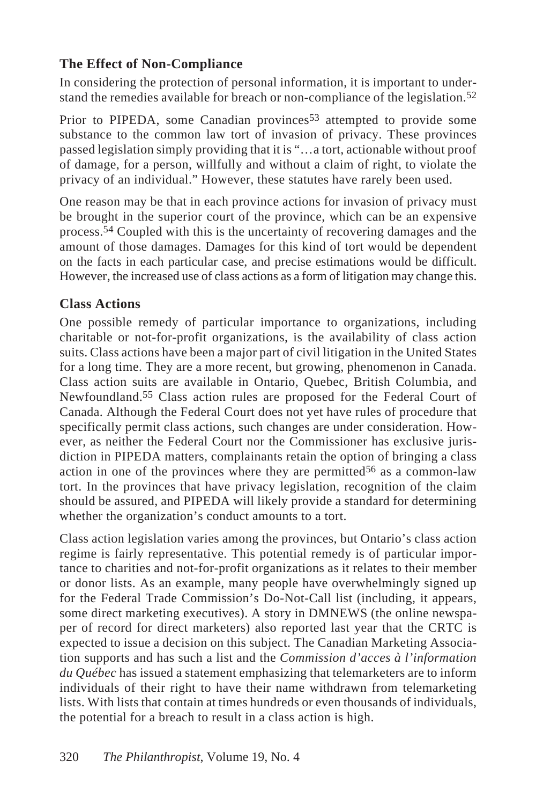## **The Effect of Non-Compliance**

In considering the protection of personal information, it is important to understand the remedies available for breach or non-compliance of the legislation.52

Prior to PIPEDA, some Canadian provinces<sup>53</sup> attempted to provide some substance to the common law tort of invasion of privacy. These provinces passed legislation simply providing that it is "…a tort, actionable without proof of damage, for a person, willfully and without a claim of right, to violate the privacy of an individual." However, these statutes have rarely been used.

One reason may be that in each province actions for invasion of privacy must be brought in the superior court of the province, which can be an expensive process.54 Coupled with this is the uncertainty of recovering damages and the amount of those damages. Damages for this kind of tort would be dependent on the facts in each particular case, and precise estimations would be difficult. However, the increased use of class actions as a form of litigation may change this.

## **Class Actions**

One possible remedy of particular importance to organizations, including charitable or not-for-profit organizations, is the availability of class action suits. Class actions have been a major part of civil litigation in the United States for a long time. They are a more recent, but growing, phenomenon in Canada. Class action suits are available in Ontario, Quebec, British Columbia, and Newfoundland.55 Class action rules are proposed for the Federal Court of Canada. Although the Federal Court does not yet have rules of procedure that specifically permit class actions, such changes are under consideration. However, as neither the Federal Court nor the Commissioner has exclusive jurisdiction in PIPEDA matters, complainants retain the option of bringing a class action in one of the provinces where they are permitted<sup>56</sup> as a common-law tort. In the provinces that have privacy legislation, recognition of the claim should be assured, and PIPEDA will likely provide a standard for determining whether the organization's conduct amounts to a tort.

Class action legislation varies among the provinces, but Ontario's class action regime is fairly representative. This potential remedy is of particular importance to charities and not-for-profit organizations as it relates to their member or donor lists. As an example, many people have overwhelmingly signed up for the Federal Trade Commission's Do-Not-Call list (including, it appears, some direct marketing executives). A story in DMNEWS (the online newspaper of record for direct marketers) also reported last year that the CRTC is expected to issue a decision on this subject. The Canadian Marketing Association supports and has such a list and the *Commission d'acces à l'information du Québec* has issued a statement emphasizing that telemarketers are to inform individuals of their right to have their name withdrawn from telemarketing lists. With lists that contain at times hundreds or even thousands of individuals, the potential for a breach to result in a class action is high.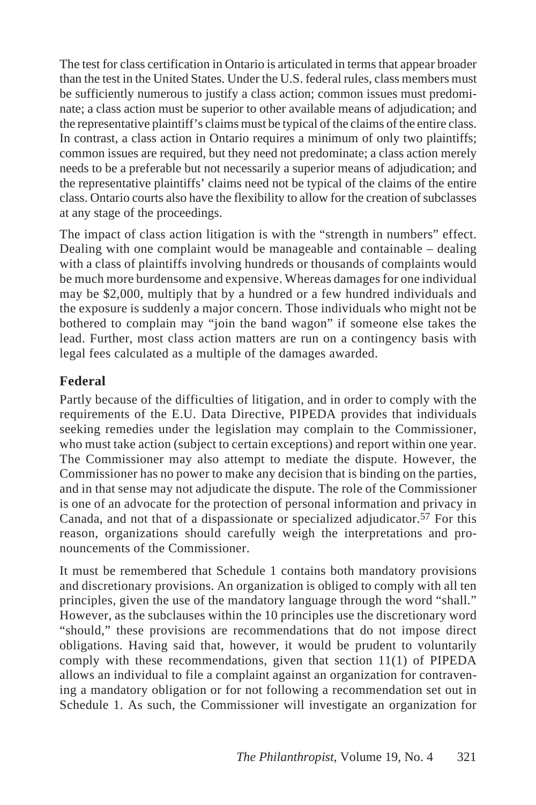The test for class certification in Ontario is articulated in terms that appear broader than the test in the United States. Under the U.S. federal rules, class members must be sufficiently numerous to justify a class action; common issues must predominate; a class action must be superior to other available means of adjudication; and the representative plaintiff's claims must be typical of the claims of the entire class. In contrast, a class action in Ontario requires a minimum of only two plaintiffs; common issues are required, but they need not predominate; a class action merely needs to be a preferable but not necessarily a superior means of adjudication; and the representative plaintiffs' claims need not be typical of the claims of the entire class. Ontario courts also have the flexibility to allow for the creation of subclasses at any stage of the proceedings.

The impact of class action litigation is with the "strength in numbers" effect. Dealing with one complaint would be manageable and containable – dealing with a class of plaintiffs involving hundreds or thousands of complaints would be much more burdensome and expensive. Whereas damages for one individual may be \$2,000, multiply that by a hundred or a few hundred individuals and the exposure is suddenly a major concern. Those individuals who might not be bothered to complain may "join the band wagon" if someone else takes the lead. Further, most class action matters are run on a contingency basis with legal fees calculated as a multiple of the damages awarded.

#### **Federal**

Partly because of the difficulties of litigation, and in order to comply with the requirements of the E.U. Data Directive, PIPEDA provides that individuals seeking remedies under the legislation may complain to the Commissioner, who must take action (subject to certain exceptions) and report within one year. The Commissioner may also attempt to mediate the dispute. However, the Commissioner has no power to make any decision that is binding on the parties, and in that sense may not adjudicate the dispute. The role of the Commissioner is one of an advocate for the protection of personal information and privacy in Canada, and not that of a dispassionate or specialized adjudicator.<sup>57</sup> For this reason, organizations should carefully weigh the interpretations and pronouncements of the Commissioner.

It must be remembered that Schedule 1 contains both mandatory provisions and discretionary provisions. An organization is obliged to comply with all ten principles, given the use of the mandatory language through the word "shall." However, as the subclauses within the 10 principles use the discretionary word "should," these provisions are recommendations that do not impose direct obligations. Having said that, however, it would be prudent to voluntarily comply with these recommendations, given that section 11(1) of PIPEDA allows an individual to file a complaint against an organization for contravening a mandatory obligation or for not following a recommendation set out in Schedule 1. As such, the Commissioner will investigate an organization for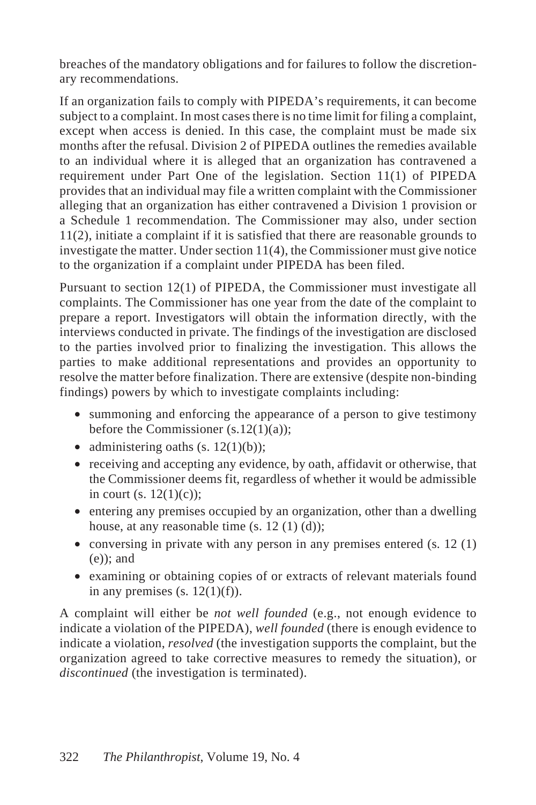breaches of the mandatory obligations and for failures to follow the discretionary recommendations.

If an organization fails to comply with PIPEDA's requirements, it can become subject to a complaint. In most cases there is no time limit for filing a complaint, except when access is denied. In this case, the complaint must be made six months after the refusal. Division 2 of PIPEDA outlines the remedies available to an individual where it is alleged that an organization has contravened a requirement under Part One of the legislation. Section 11(1) of PIPEDA provides that an individual may file a written complaint with the Commissioner alleging that an organization has either contravened a Division 1 provision or a Schedule 1 recommendation. The Commissioner may also, under section 11(2), initiate a complaint if it is satisfied that there are reasonable grounds to investigate the matter. Under section 11(4), the Commissioner must give notice to the organization if a complaint under PIPEDA has been filed.

Pursuant to section 12(1) of PIPEDA, the Commissioner must investigate all complaints. The Commissioner has one year from the date of the complaint to prepare a report. Investigators will obtain the information directly, with the interviews conducted in private. The findings of the investigation are disclosed to the parties involved prior to finalizing the investigation. This allows the parties to make additional representations and provides an opportunity to resolve the matter before finalization. There are extensive (despite non-binding findings) powers by which to investigate complaints including:

- summoning and enforcing the appearance of a person to give testimony before the Commissioner  $(s.12(1)(a))$ ;
- administering oaths  $(s. 12(1)(b))$ ;
- receiving and accepting any evidence, by oath, affidavit or otherwise, that the Commissioner deems fit, regardless of whether it would be admissible in court (s.  $12(1)(c)$ );
- entering any premises occupied by an organization, other than a dwelling house, at any reasonable time  $(s, 12(1)(d))$ ;
- conversing in private with any person in any premises entered  $(s, 12(1))$ (e)); and
- examining or obtaining copies of or extracts of relevant materials found in any premises  $(s. 12(1)(f))$ .

A complaint will either be *not well founded* (e.g., not enough evidence to indicate a violation of the PIPEDA), *well founded* (there is enough evidence to indicate a violation, *resolved* (the investigation supports the complaint, but the organization agreed to take corrective measures to remedy the situation), or *discontinued* (the investigation is terminated).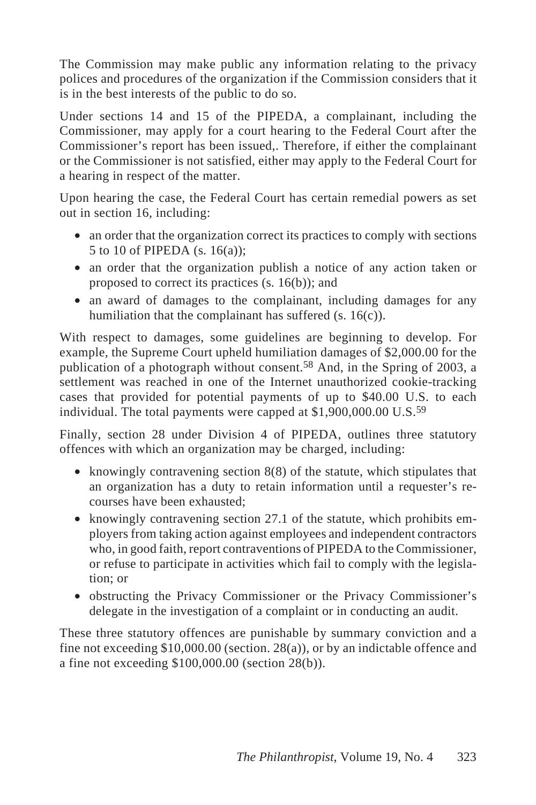The Commission may make public any information relating to the privacy polices and procedures of the organization if the Commission considers that it is in the best interests of the public to do so.

Under sections 14 and 15 of the PIPEDA, a complainant, including the Commissioner, may apply for a court hearing to the Federal Court after the Commissioner's report has been issued,. Therefore, if either the complainant or the Commissioner is not satisfied, either may apply to the Federal Court for a hearing in respect of the matter.

Upon hearing the case, the Federal Court has certain remedial powers as set out in section 16, including:

- an order that the organization correct its practices to comply with sections 5 to 10 of PIPEDA (s. 16(a));
- an order that the organization publish a notice of any action taken or proposed to correct its practices (s. 16(b)); and
- an award of damages to the complainant, including damages for any humiliation that the complainant has suffered (s. 16(c)).

With respect to damages, some guidelines are beginning to develop. For example, the Supreme Court upheld humiliation damages of \$2,000.00 for the publication of a photograph without consent.58 And, in the Spring of 2003, a settlement was reached in one of the Internet unauthorized cookie-tracking cases that provided for potential payments of up to \$40.00 U.S. to each individual. The total payments were capped at \$1,900,000.00 U.S.59

Finally, section 28 under Division 4 of PIPEDA, outlines three statutory offences with which an organization may be charged, including:

- knowingly contravening section 8(8) of the statute, which stipulates that an organization has a duty to retain information until a requester's recourses have been exhausted;
- knowingly contravening section 27.1 of the statute, which prohibits employers from taking action against employees and independent contractors who, in good faith, report contraventions of PIPEDA to the Commissioner, or refuse to participate in activities which fail to comply with the legislation; or
- obstructing the Privacy Commissioner or the Privacy Commissioner's delegate in the investigation of a complaint or in conducting an audit.

These three statutory offences are punishable by summary conviction and a fine not exceeding \$10,000.00 (section. 28(a)), or by an indictable offence and a fine not exceeding \$100,000.00 (section 28(b)).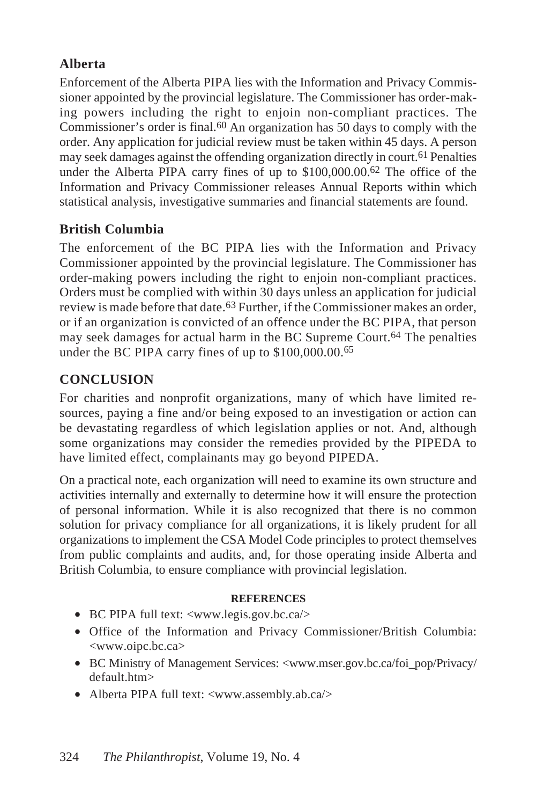## **Alberta**

Enforcement of the Alberta PIPA lies with the Information and Privacy Commissioner appointed by the provincial legislature. The Commissioner has order-making powers including the right to enjoin non-compliant practices. The Commissioner's order is final.60 An organization has 50 days to comply with the order. Any application for judicial review must be taken within 45 days. A person may seek damages against the offending organization directly in court.61 Penalties under the Alberta PIPA carry fines of up to \$100,000.00.<sup>62</sup> The office of the Information and Privacy Commissioner releases Annual Reports within which statistical analysis, investigative summaries and financial statements are found.

## **British Columbia**

The enforcement of the BC PIPA lies with the Information and Privacy Commissioner appointed by the provincial legislature. The Commissioner has order-making powers including the right to enjoin non-compliant practices. Orders must be complied with within 30 days unless an application for judicial review is made before that date.63 Further, if the Commissioner makes an order, or if an organization is convicted of an offence under the BC PIPA, that person may seek damages for actual harm in the BC Supreme Court.<sup>64</sup> The penalties under the BC PIPA carry fines of up to \$100,000.00.65

## **CONCLUSION**

For charities and nonprofit organizations, many of which have limited resources, paying a fine and/or being exposed to an investigation or action can be devastating regardless of which legislation applies or not. And, although some organizations may consider the remedies provided by the PIPEDA to have limited effect, complainants may go beyond PIPEDA.

On a practical note, each organization will need to examine its own structure and activities internally and externally to determine how it will ensure the protection of personal information. While it is also recognized that there is no common solution for privacy compliance for all organizations, it is likely prudent for all organizations to implement the CSA Model Code principles to protect themselves from public complaints and audits, and, for those operating inside Alberta and British Columbia, to ensure compliance with provincial legislation.

#### **REFERENCES**

- BC PIPA full text: <www.legis.gov.bc.ca/>
- Office of the Information and Privacy Commissioner/British Columbia: <www.oipc.bc.ca>
- BC Ministry of Management Services: <www.mser.gov.bc.ca/foi\_pop/Privacy/ default.htm>
- Alberta PIPA full text: <www.assembly.ab.ca/>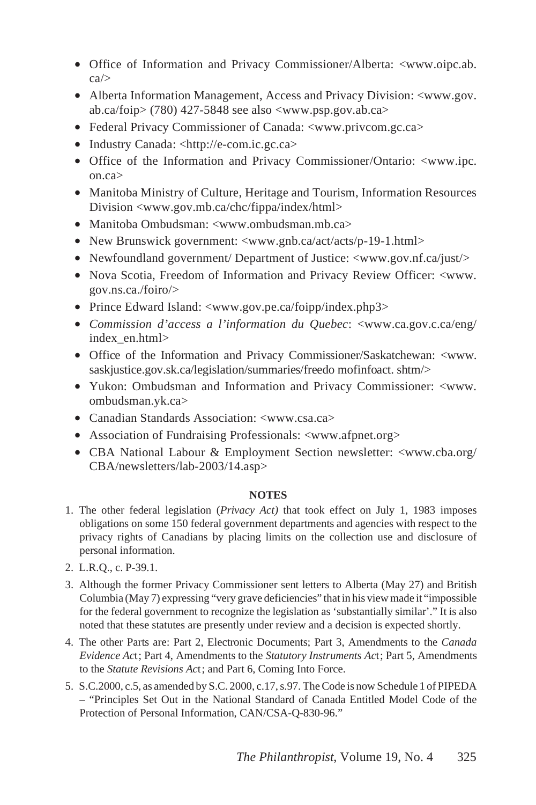- Office of Information and Privacy Commissioner/Alberta: <www.oipc.ab. ca/>
- Alberta Information Management, Access and Privacy Division: <www.gov. ab.ca/foip>  $(780)$  427-5848 see also  $\langle$ www.psp.gov.ab.ca>
- Federal Privacy Commissioner of Canada: <www.privcom.gc.ca>
- Industry Canada: <http://e-com.ic.gc.ca>
- Office of the Information and Privacy Commissioner/Ontario: <www.ipc. on.ca>
- Manitoba Ministry of Culture, Heritage and Tourism, Information Resources Division <www.gov.mb.ca/chc/fippa/index/html>
- Manitoba Ombudsman: <www.ombudsman.mb.ca>
- New Brunswick government: <www.gnb.ca/act/acts/p-19-1.html>
- Newfoundland government/ Department of Justice: <www.gov.nf.ca/just/>
- Nova Scotia, Freedom of Information and Privacy Review Officer: <www. gov.ns.ca./foiro/>
- Prince Edward Island: <www.gov.pe.ca/foipp/index.php3>
- *Commission d'access a l'information du Quebec*: <www.ca.gov.c.ca/eng/ index\_en.html>
- Office of the Information and Privacy Commissioner/Saskatchewan: <www. saskjustice.gov.sk.ca/legislation/summaries/freedo mofinfoact. shtm/>
- Yukon: Ombudsman and Information and Privacy Commissioner: <www. ombudsman.yk.ca>
- Canadian Standards Association: <www.csa.ca>
- Association of Fundraising Professionals: <www.afpnet.org>
- CBA National Labour & Employment Section newsletter: <www.cba.org/ CBA/newsletters/lab-2003/14.asp>

#### **NOTES**

- 1. The other federal legislation (*Privacy Act)* that took effect on July 1, 1983 imposes obligations on some 150 federal government departments and agencies with respect to the privacy rights of Canadians by placing limits on the collection use and disclosure of personal information.
- 2. L.R.Q., c. P-39.1.
- 3. Although the former Privacy Commissioner sent letters to Alberta (May 27) and British Columbia (May 7) expressing "very grave deficiencies" that in his view made it "impossible for the federal government to recognize the legislation as 'substantially similar'." It is also noted that these statutes are presently under review and a decision is expected shortly.
- 4. The other Parts are: Part 2, Electronic Documents; Part 3, Amendments to the *Canada Evidence Ac*t; Part 4, Amendments to the *Statutory Instruments Ac*t; Part 5, Amendments to the *Statute Revisions Ac*t; and Part 6, Coming Into Force.
- 5. S.C.2000, c.5, as amended by S.C. 2000, c.17, s.97. The Code is now Schedule 1 of PIPEDA – "Principles Set Out in the National Standard of Canada Entitled Model Code of the Protection of Personal Information, CAN/CSA-Q-830-96."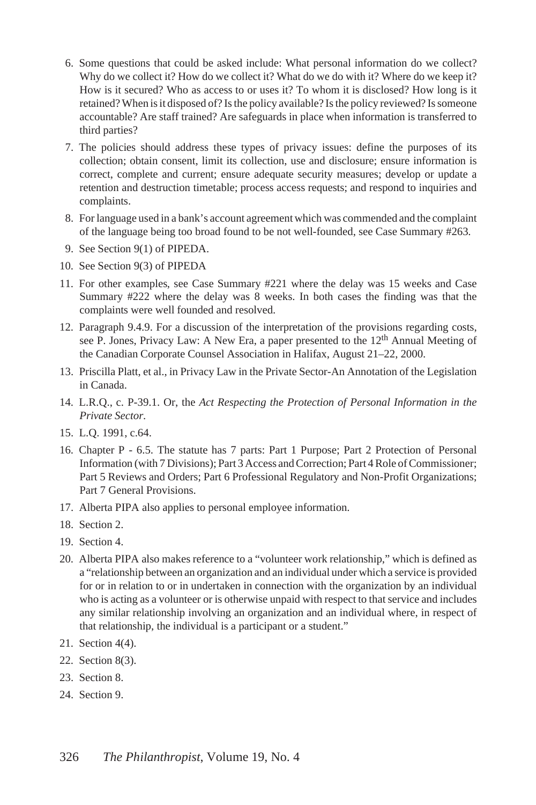- 6. Some questions that could be asked include: What personal information do we collect? Why do we collect it? How do we collect it? What do we do with it? Where do we keep it? How is it secured? Who as access to or uses it? To whom it is disclosed? How long is it retained? When is it disposed of? Is the policy available? Is the policy reviewed? Is someone accountable? Are staff trained? Are safeguards in place when information is transferred to third parties?
- 7. The policies should address these types of privacy issues: define the purposes of its collection; obtain consent, limit its collection, use and disclosure; ensure information is correct, complete and current; ensure adequate security measures; develop or update a retention and destruction timetable; process access requests; and respond to inquiries and complaints.
- 8. For language used in a bank's account agreement which was commended and the complaint of the language being too broad found to be not well-founded, see Case Summary #263.
- 9. See Section 9(1) of PIPEDA.
- 10. See Section 9(3) of PIPEDA
- 11. For other examples, see Case Summary #221 where the delay was 15 weeks and Case Summary #222 where the delay was 8 weeks. In both cases the finding was that the complaints were well founded and resolved.
- 12. Paragraph 9.4.9. For a discussion of the interpretation of the provisions regarding costs, see P. Jones, Privacy Law: A New Era, a paper presented to the 12<sup>th</sup> Annual Meeting of the Canadian Corporate Counsel Association in Halifax, August 21–22, 2000.
- 13. Priscilla Platt, et al., in Privacy Law in the Private Sector-An Annotation of the Legislation in Canada.
- 14. L.R.Q., c. P-39.1. Or, the *Act Respecting the Protection of Personal Information in the Private Sector*.
- 15. L.Q. 1991, c.64.
- 16. Chapter P 6.5. The statute has 7 parts: Part 1 Purpose; Part 2 Protection of Personal Information (with 7 Divisions); Part 3 Access and Correction; Part 4 Role of Commissioner; Part 5 Reviews and Orders; Part 6 Professional Regulatory and Non-Profit Organizations; Part 7 General Provisions.
- 17. Alberta PIPA also applies to personal employee information.
- 18. Section 2.
- 19. Section 4.
- 20. Alberta PIPA also makes reference to a "volunteer work relationship," which is defined as a "relationship between an organization and an individual under which a service is provided for or in relation to or in undertaken in connection with the organization by an individual who is acting as a volunteer or is otherwise unpaid with respect to that service and includes any similar relationship involving an organization and an individual where, in respect of that relationship, the individual is a participant or a student."
- 21. Section 4(4).
- 22. Section 8(3).
- 23. Section 8.
- 24. Section 9.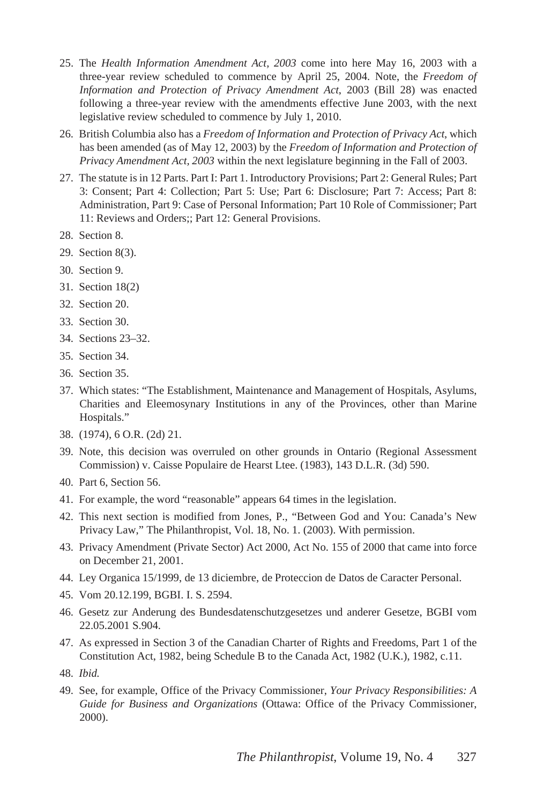- 25. The *Health Information Amendment Act, 2003* come into here May 16, 2003 with a three-year review scheduled to commence by April 25, 2004. Note, the *Freedom of Information and Protection of Privacy Amendment Act*, 2003 (Bill 28) was enacted following a three-year review with the amendments effective June 2003, with the next legislative review scheduled to commence by July 1, 2010.
- 26. British Columbia also has a *Freedom of Information and Protection of Privacy Act*, which has been amended (as of May 12, 2003) by the *Freedom of Information and Protection of Privacy Amendment Act, 2003* within the next legislature beginning in the Fall of 2003.
- 27. The statute is in 12 Parts. Part I: Part 1. Introductory Provisions; Part 2: General Rules; Part 3: Consent; Part 4: Collection; Part 5: Use; Part 6: Disclosure; Part 7: Access; Part 8: Administration, Part 9: Case of Personal Information; Part 10 Role of Commissioner; Part 11: Reviews and Orders;; Part 12: General Provisions.
- 28. Section 8.
- 29. Section 8(3).
- 30. Section 9.
- 31. Section 18(2)
- 32. Section 20.
- 33. Section 30.
- 34. Sections 23–32.
- 35. Section 34.
- 36. Section 35.
- 37. Which states: "The Establishment, Maintenance and Management of Hospitals, Asylums, Charities and Eleemosynary Institutions in any of the Provinces, other than Marine Hospitals."
- 38. (1974), 6 O.R. (2d) 21.
- 39. Note, this decision was overruled on other grounds in Ontario (Regional Assessment Commission) v. Caisse Populaire de Hearst Ltee. (1983), 143 D.L.R. (3d) 590.
- 40. Part 6, Section 56.
- 41. For example, the word "reasonable" appears 64 times in the legislation.
- 42. This next section is modified from Jones, P., "Between God and You: Canada's New Privacy Law," The Philanthropist, Vol. 18, No. 1. (2003). With permission.
- 43. Privacy Amendment (Private Sector) Act 2000, Act No. 155 of 2000 that came into force on December 21, 2001.
- 44. Ley Organica 15/1999, de 13 diciembre, de Proteccion de Datos de Caracter Personal.
- 45. Vom 20.12.199, BGBI. I. S. 2594.
- 46. Gesetz zur Anderung des Bundesdatenschutzgesetzes und anderer Gesetze, BGBI vom 22.05.2001 S.904.
- 47. As expressed in Section 3 of the Canadian Charter of Rights and Freedoms, Part 1 of the Constitution Act, 1982, being Schedule B to the Canada Act, 1982 (U.K.), 1982, c.11.
- 48. *Ibid.*
- 49. See, for example, Office of the Privacy Commissioner, *Your Privacy Responsibilities: A Guide for Business and Organizations* (Ottawa: Office of the Privacy Commissioner, 2000).